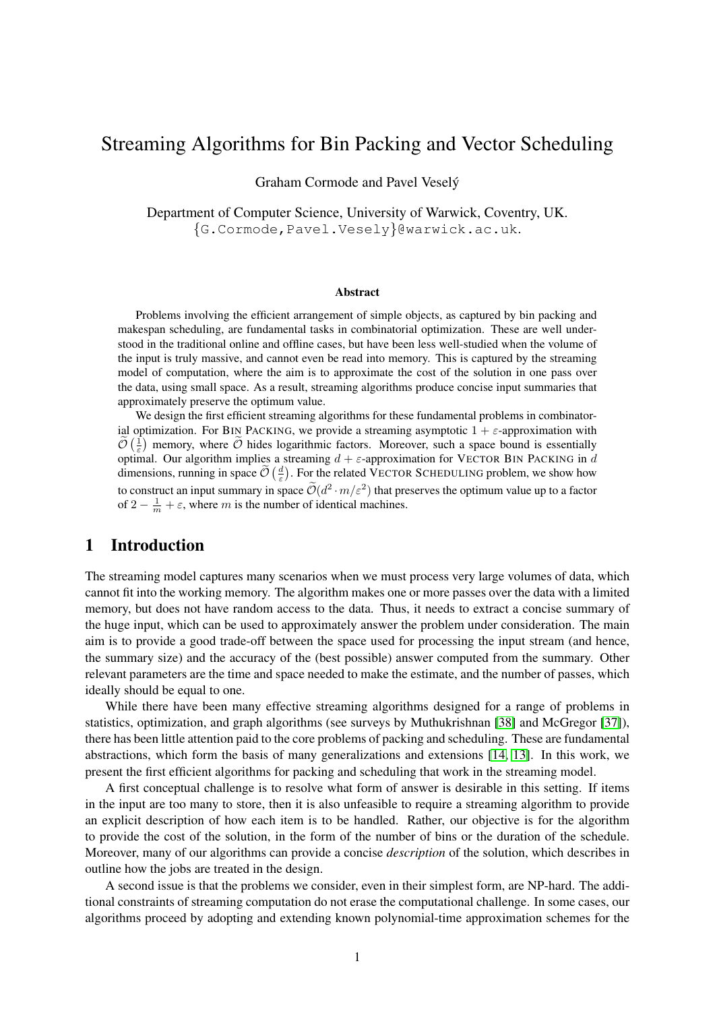# Streaming Algorithms for Bin Packing and Vector Scheduling

Graham Cormode and Pavel Vesely´

Department of Computer Science, University of Warwick, Coventry, UK. {G.Cormode,Pavel.Vesely}@warwick.ac.uk.

#### Abstract

Problems involving the efficient arrangement of simple objects, as captured by bin packing and makespan scheduling, are fundamental tasks in combinatorial optimization. These are well understood in the traditional online and offline cases, but have been less well-studied when the volume of the input is truly massive, and cannot even be read into memory. This is captured by the streaming model of computation, where the aim is to approximate the cost of the solution in one pass over the data, using small space. As a result, streaming algorithms produce concise input summaries that approximately preserve the optimum value.

We design the first efficient streaming algorithms for these fundamental problems in combinatorial optimization. For BIN PACKING, we provide a streaming asymptotic  $1 + \varepsilon$ -approximation with  $\widetilde{\mathcal{O}}\left(\frac{1}{\varepsilon}\right)$  memory, where  $\widetilde{\mathcal{O}}$  hides logarithmic factors. Moreover, such a space bound is essentially optimal. Our algorithm implies a streaming *d* + *ε*-approximation for VECTOR BIN PACKING in *d* dimensions, running in space  $\tilde{\mathcal{O}}\left(\frac{d}{\varepsilon}\right)$ . For the related VECTOR SCHEDULING problem, we show how to construct an input summary in space  $\tilde{\mathcal{O}}(d^2 \cdot m/\varepsilon^2)$  that preserves the optimum value up to a factor of  $2 - \frac{1}{m} + \varepsilon$ , where *m* is the number of identical machines.

## 1 Introduction

The streaming model captures many scenarios when we must process very large volumes of data, which cannot fit into the working memory. The algorithm makes one or more passes over the data with a limited memory, but does not have random access to the data. Thus, it needs to extract a concise summary of the huge input, which can be used to approximately answer the problem under consideration. The main aim is to provide a good trade-off between the space used for processing the input stream (and hence, the summary size) and the accuracy of the (best possible) answer computed from the summary. Other relevant parameters are the time and space needed to make the estimate, and the number of passes, which ideally should be equal to one.

While there have been many effective streaming algorithms designed for a range of problems in statistics, optimization, and graph algorithms (see surveys by Muthukrishnan [\[38\]](#page-18-0) and McGregor [\[37\]](#page-18-1)), there has been little attention paid to the core problems of packing and scheduling. These are fundamental abstractions, which form the basis of many generalizations and extensions [\[14,](#page-16-0) [13\]](#page-16-1). In this work, we present the first efficient algorithms for packing and scheduling that work in the streaming model.

A first conceptual challenge is to resolve what form of answer is desirable in this setting. If items in the input are too many to store, then it is also unfeasible to require a streaming algorithm to provide an explicit description of how each item is to be handled. Rather, our objective is for the algorithm to provide the cost of the solution, in the form of the number of bins or the duration of the schedule. Moreover, many of our algorithms can provide a concise *description* of the solution, which describes in outline how the jobs are treated in the design.

A second issue is that the problems we consider, even in their simplest form, are NP-hard. The additional constraints of streaming computation do not erase the computational challenge. In some cases, our algorithms proceed by adopting and extending known polynomial-time approximation schemes for the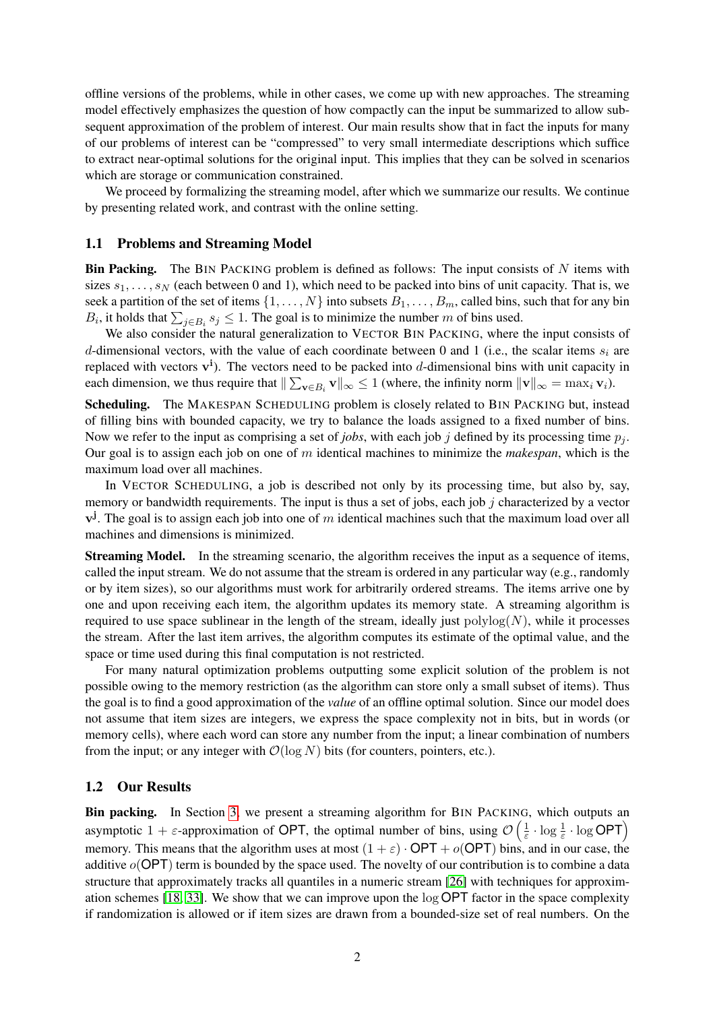offline versions of the problems, while in other cases, we come up with new approaches. The streaming model effectively emphasizes the question of how compactly can the input be summarized to allow subsequent approximation of the problem of interest. Our main results show that in fact the inputs for many of our problems of interest can be "compressed" to very small intermediate descriptions which suffice to extract near-optimal solutions for the original input. This implies that they can be solved in scenarios which are storage or communication constrained.

We proceed by formalizing the streaming model, after which we summarize our results. We continue by presenting related work, and contrast with the online setting.

#### 1.1 Problems and Streaming Model

Bin Packing. The BIN PACKING problem is defined as follows: The input consists of *N* items with sizes  $s_1, \ldots, s_N$  (each between 0 and 1), which need to be packed into bins of unit capacity. That is, we seek a partition of the set of items  $\{1, \ldots, N\}$  into subsets  $B_1, \ldots, B_m$ , called bins, such that for any bin *B*<sup>*i*</sup>, it holds that  $\sum_{j \in B_i} s_j \leq 1$ . The goal is to minimize the number *m* of bins used.

We also consider the natural generalization to VECTOR BIN PACKING, where the input consists of *d*-dimensional vectors, with the value of each coordinate between 0 and 1 (i.e., the scalar items *s<sup>i</sup>* are replaced with vectors  $v^i$ ). The vectors need to be packed into *d*-dimensional bins with unit capacity in each dimension, we thus require that  $\|\sum_{\mathbf{v}\in B_i} \mathbf{v}\|_{\infty} \leq 1$  (where, the infinity norm  $\|\mathbf{v}\|_{\infty} = \max_i \mathbf{v}_i$ ).

Scheduling. The MAKESPAN SCHEDULING problem is closely related to BIN PACKING but, instead of filling bins with bounded capacity, we try to balance the loads assigned to a fixed number of bins. Now we refer to the input as comprising a set of *jobs*, with each job *j* defined by its processing time  $p_i$ . Our goal is to assign each job on one of *m* identical machines to minimize the *makespan*, which is the maximum load over all machines.

In VECTOR SCHEDULING, a job is described not only by its processing time, but also by, say, memory or bandwidth requirements. The input is thus a set of jobs, each job *j* characterized by a vector  $v^j$ . The goal is to assign each job into one of m identical machines such that the maximum load over all machines and dimensions is minimized.

Streaming Model. In the streaming scenario, the algorithm receives the input as a sequence of items, called the input stream. We do not assume that the stream is ordered in any particular way (e.g., randomly or by item sizes), so our algorithms must work for arbitrarily ordered streams. The items arrive one by one and upon receiving each item, the algorithm updates its memory state. A streaming algorithm is required to use space sublinear in the length of the stream, ideally just  $polylog(N)$ , while it processes the stream. After the last item arrives, the algorithm computes its estimate of the optimal value, and the space or time used during this final computation is not restricted.

For many natural optimization problems outputting some explicit solution of the problem is not possible owing to the memory restriction (as the algorithm can store only a small subset of items). Thus the goal is to find a good approximation of the *value* of an offline optimal solution. Since our model does not assume that item sizes are integers, we express the space complexity not in bits, but in words (or memory cells), where each word can store any number from the input; a linear combination of numbers from the input; or any integer with  $\mathcal{O}(\log N)$  bits (for counters, pointers, etc.).

#### 1.2 Our Results

Bin packing. In Section [3,](#page-4-0) we present a streaming algorithm for BIN PACKING, which outputs an asymptotic  $1 + \varepsilon$ -approximation of OPT, the optimal number of bins, using  $\mathcal{O}\left(\frac{1}{\varepsilon}\right)$  $\frac{1}{\varepsilon} \cdot \log \frac{1}{\varepsilon} \cdot \log \mathsf{OPT}$ memory. This means that the algorithm uses at most  $(1 + \varepsilon) \cdot \text{OPT} + o(\text{OPT})$  bins, and in our case, the additive *o*(OPT) term is bounded by the space used. The novelty of our contribution is to combine a data structure that approximately tracks all quantiles in a numeric stream [\[26\]](#page-17-0) with techniques for approximation schemes [\[18,](#page-17-1) [33\]](#page-18-2). We show that we can improve upon the log OPT factor in the space complexity if randomization is allowed or if item sizes are drawn from a bounded-size set of real numbers. On the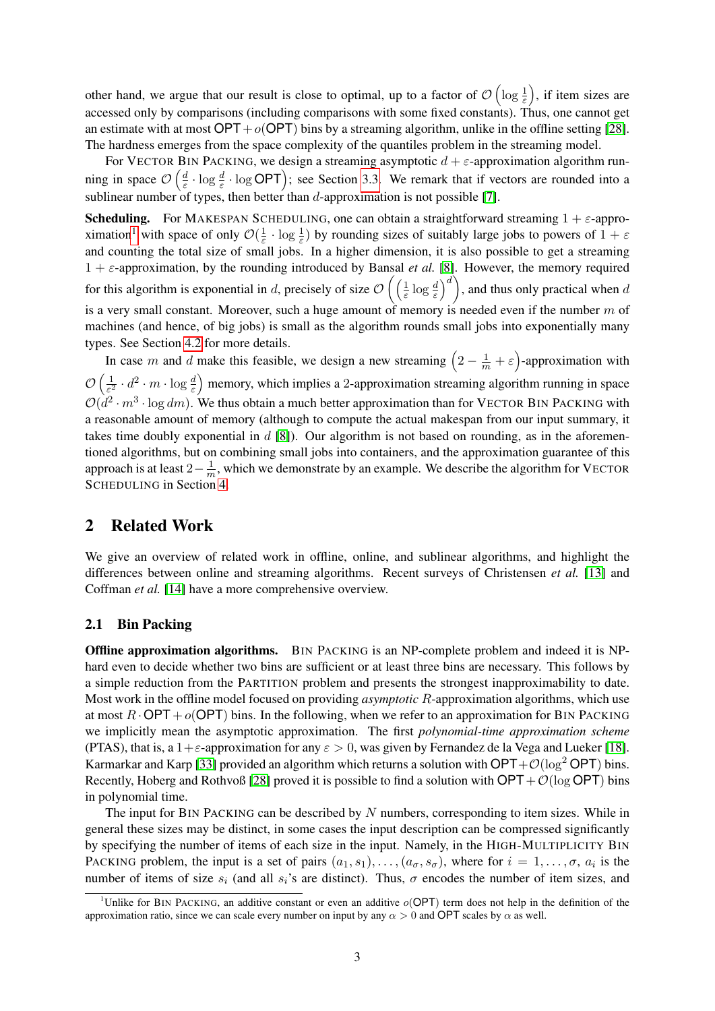other hand, we argue that our result is close to optimal, up to a factor of  $\mathcal{O}(\log \frac{1}{\varepsilon})$ , if item sizes are accessed only by comparisons (including comparisons with some fixed constants). Thus, one cannot get an estimate with at most  $OPT + o(OPT)$  bins by a streaming algorithm, unlike in the offline setting [\[28\]](#page-17-2). The hardness emerges from the space complexity of the quantiles problem in the streaming model.

For VECTOR BIN PACKING, we design a streaming asymptotic *d* + *ε*-approximation algorithm running in space  $\mathcal{O}\left(\frac{d}{\varepsilon}\right)$  $\frac{d}{\varepsilon} \cdot \log \frac{d}{\varepsilon} \cdot \log \text{OPT}$ ; see Section [3.3.](#page-10-0) We remark that if vectors are rounded into a sublinear number of types, then better than  $d$ -approximation is not possible [\[7\]](#page-16-2).

**Scheduling.** For MAKESPAN SCHEDULING, one can obtain a straightforward streaming  $1 + \varepsilon$ -appro-ximation<sup>[1](#page-2-0)</sup> with space of only  $\mathcal{O}(\frac{1}{\varepsilon})$  $\frac{1}{\varepsilon} \cdot \log \frac{1}{\varepsilon}$ ) by rounding sizes of suitably large jobs to powers of  $1 + \varepsilon$ and counting the total size of small jobs. In a higher dimension, it is also possible to get a streaming 1 + *ε*-approximation, by the rounding introduced by Bansal *et al.* [\[8\]](#page-16-3). However, the memory required for this algorithm is exponential in *d*, precisely of size  $\mathcal{O}\left(\frac{1}{\varepsilon}\right)$  $\left(\frac{1}{\varepsilon}\log\frac{d}{\varepsilon}\right)^d$ , and thus only practical when *d* is a very small constant. Moreover, such a huge amount of memory is needed even if the number *m* of machines (and hence, of big jobs) is small as the algorithm rounds small jobs into exponentially many types. See Section [4.2](#page-14-0) for more details.

In case *m* and *d* make this feasible, we design a new streaming  $\left(2 - \frac{1}{m} + \varepsilon\right)$ -approximation with  $\mathcal{O}\left(\frac{1}{\varepsilon^2}\right)$  $\frac{1}{\varepsilon^2} \cdot d^2 \cdot m \cdot \log \frac{d}{\varepsilon}$  memory, which implies a 2-approximation streaming algorithm running in space  $O(d^2 \cdot m^3 \cdot \log dm)$ . We thus obtain a much better approximation than for VECTOR BIN PACKING with a reasonable amount of memory (although to compute the actual makespan from our input summary, it takes time doubly exponential in *d* [\[8\]](#page-16-3)). Our algorithm is not based on rounding, as in the aforementioned algorithms, but on combining small jobs into containers, and the approximation guarantee of this approach is at least  $2-\frac{1}{n}$  $\frac{1}{m}$ , which we demonstrate by an example. We describe the algorithm for VECTOR SCHEDULING in Section [4.](#page-11-0)

## 2 Related Work

We give an overview of related work in offline, online, and sublinear algorithms, and highlight the differences between online and streaming algorithms. Recent surveys of Christensen *et al.* [\[13\]](#page-16-1) and Coffman *et al.* [\[14\]](#page-16-0) have a more comprehensive overview.

### 2.1 Bin Packing

Offline approximation algorithms. BIN PACKING is an NP-complete problem and indeed it is NPhard even to decide whether two bins are sufficient or at least three bins are necessary. This follows by a simple reduction from the PARTITION problem and presents the strongest inapproximability to date. Most work in the offline model focused on providing *asymptotic R*-approximation algorithms, which use at most  $R \cdot \text{OPT} + o(\text{OPT})$  bins. In the following, when we refer to an approximation for BIN PACKING we implicitly mean the asymptotic approximation. The first *polynomial-time approximation scheme* (PTAS), that is, a 1+*ε*-approximation for any *ε >* 0, was given by Fernandez de la Vega and Lueker [\[18\]](#page-17-1). Karmarkar and Karp [\[33\]](#page-18-2) provided an algorithm which returns a solution with  $OPT + \mathcal{O}(\log^2 OPT)$  bins. Recently, Hoberg and Rothvoß [\[28\]](#page-17-2) proved it is possible to find a solution with  $OPT + \mathcal{O}(\log OPT)$  bins in polynomial time.

The input for BIN PACKING can be described by *N* numbers, corresponding to item sizes. While in general these sizes may be distinct, in some cases the input description can be compressed significantly by specifying the number of items of each size in the input. Namely, in the HIGH-MULTIPLICITY BIN PACKING problem, the input is a set of pairs  $(a_1, s_1), \ldots, (a_\sigma, s_\sigma)$ , where for  $i = 1, \ldots, \sigma$ ,  $a_i$  is the number of items of size  $s_i$  (and all  $s_i$ 's are distinct). Thus,  $\sigma$  encodes the number of item sizes, and

<span id="page-2-0"></span><sup>&</sup>lt;sup>1</sup>Unlike for BIN PACKING, an additive constant or even an additive  $o(OPT)$  term does not help in the definition of the approximation ratio, since we can scale every number on input by any  $\alpha > 0$  and OPT scales by  $\alpha$  as well.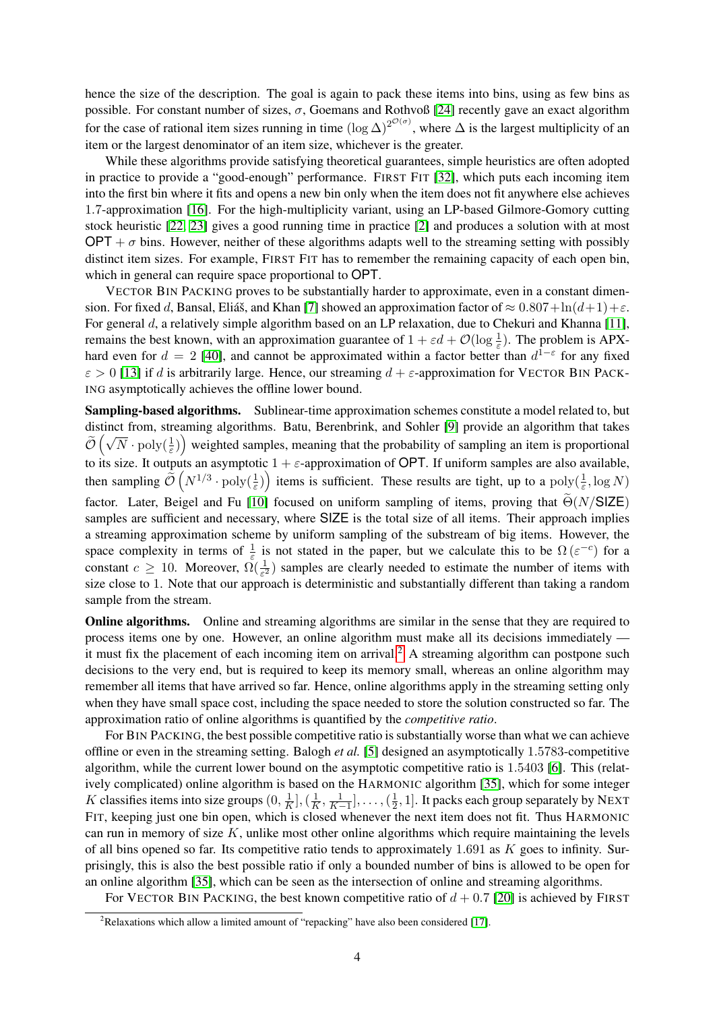hence the size of the description. The goal is again to pack these items into bins, using as few bins as possible. For constant number of sizes, *σ*, Goemans and Rothvoß [\[24\]](#page-17-3) recently gave an exact algorithm for the case of rational item sizes running in time  $(\log \Delta)^{2^{\mathcal{O}(\sigma)}}$ , where  $\Delta$  is the largest multiplicity of an item or the largest denominator of an item size, whichever is the greater.

While these algorithms provide satisfying theoretical guarantees, simple heuristics are often adopted in practice to provide a "good-enough" performance. FIRST FIT [\[32\]](#page-17-4), which puts each incoming item into the first bin where it fits and opens a new bin only when the item does not fit anywhere else achieves 1*.*7-approximation [\[16\]](#page-16-4). For the high-multiplicity variant, using an LP-based Gilmore-Gomory cutting stock heuristic [\[22,](#page-17-5) [23\]](#page-17-6) gives a good running time in practice [\[2\]](#page-16-5) and produces a solution with at most  $OPT + \sigma$  bins. However, neither of these algorithms adapts well to the streaming setting with possibly distinct item sizes. For example, FIRST FIT has to remember the remaining capacity of each open bin, which in general can require space proportional to OPT.

VECTOR BIN PACKING proves to be substantially harder to approximate, even in a constant dimension. For fixed *d*, Bansal, Eliáš, and Khan [\[7\]](#page-16-2) showed an approximation factor of  $\approx 0.807 + \ln(d+1) + \varepsilon$ . For general *d*, a relatively simple algorithm based on an LP relaxation, due to Chekuri and Khanna [\[11\]](#page-16-6), remains the best known, with an approximation guarantee of  $1 + \varepsilon d + \mathcal{O}(\log \frac{1}{\varepsilon})$ . The problem is APXhard even for  $d = 2$  [\[40\]](#page-18-3), and cannot be approximated within a factor better than  $d^{1-\epsilon}$  for any fixed  $\varepsilon > 0$  [\[13\]](#page-16-1) if *d* is arbitrarily large. Hence, our streaming  $d + \varepsilon$ -approximation for VECTOR BIN PACK-ING asymptotically achieves the offline lower bound.

Sampling-based algorithms. Sublinear-time approximation schemes constitute a model related to, but distinct from, streaming algorithms. Batu, Berenbrink, and Sohler [\[9\]](#page-16-7) provide an algorithm that takes  $\mathcal{O}$  $(\sqrt{N} \cdot \text{poly}(\frac{1}{\varepsilon}))$  weighted samples, meaning that the probability of sampling an item is proportional to its size. It outputs an asymptotic  $1 + \varepsilon$ -approximation of OPT. If uniform samples are also available, then sampling  $\tilde{\mathcal{O}}\left(N^{1/3} \cdot \text{poly}(\frac{1}{\varepsilon})\right)$  items is sufficient. These results are tight, up to a  $\text{poly}(\frac{1}{\varepsilon}, \log N)$ factor. Later, Beigel and Fu [\[10\]](#page-16-8) focused on uniform sampling of items, proving that  $\tilde{\Theta}(N/\text{SIZE})$ samples are sufficient and necessary, where  $SIZE$  is the total size of all items. Their approach implies a streaming approximation scheme by uniform sampling of the substream of big items. However, the space complexity in terms of  $\frac{1}{\varepsilon}$  is not stated in the paper, but we calculate this to be  $\Omega(\varepsilon^{-c})$  for a constant  $c \geq 10$ . Moreover,  $\Omega(\frac{1}{\epsilon^2})$  samples are clearly needed to estimate the number of items with size close to 1. Note that our approach is deterministic and substantially different than taking a random sample from the stream.

Online algorithms. Online and streaming algorithms are similar in the sense that they are required to process items one by one. However, an online algorithm must make all its decisions immediately — it must fix the placement of each incoming item on arrival.<sup>[2](#page-3-0)</sup> A streaming algorithm can postpone such decisions to the very end, but is required to keep its memory small, whereas an online algorithm may remember all items that have arrived so far. Hence, online algorithms apply in the streaming setting only when they have small space cost, including the space needed to store the solution constructed so far. The approximation ratio of online algorithms is quantified by the *competitive ratio*.

For BIN PACKING, the best possible competitive ratio is substantially worse than what we can achieve offline or even in the streaming setting. Balogh *et al.* [\[5\]](#page-16-9) designed an asymptotically 1*.*5783-competitive algorithm, while the current lower bound on the asymptotic competitive ratio is 1*.*5403 [\[6\]](#page-16-10). This (relatively complicated) online algorithm is based on the HARMONIC algorithm [\[35\]](#page-18-4), which for some integer *K* classifies items into size groups  $(0, \frac{1}{k})$  $\frac{1}{K}$ ],  $\left(\frac{1}{K}\right)$  $\frac{1}{K}, \frac{1}{K-1}$ , ...,  $(\frac{1}{2})$  $\frac{1}{2}$ , 1]. It packs each group separately by NEXT FIT, keeping just one bin open, which is closed whenever the next item does not fit. Thus HARMONIC can run in memory of size *K*, unlike most other online algorithms which require maintaining the levels of all bins opened so far. Its competitive ratio tends to approximately 1*.*691 as *K* goes to infinity. Surprisingly, this is also the best possible ratio if only a bounded number of bins is allowed to be open for an online algorithm [\[35\]](#page-18-4), which can be seen as the intersection of online and streaming algorithms.

For VECTOR BIN PACKING, the best known competitive ratio of  $d + 0.7$  [\[20\]](#page-17-7) is achieved by FIRST

<span id="page-3-0"></span> $2R$ elaxations which allow a limited amount of "repacking" have also been considered [\[17\]](#page-17-8).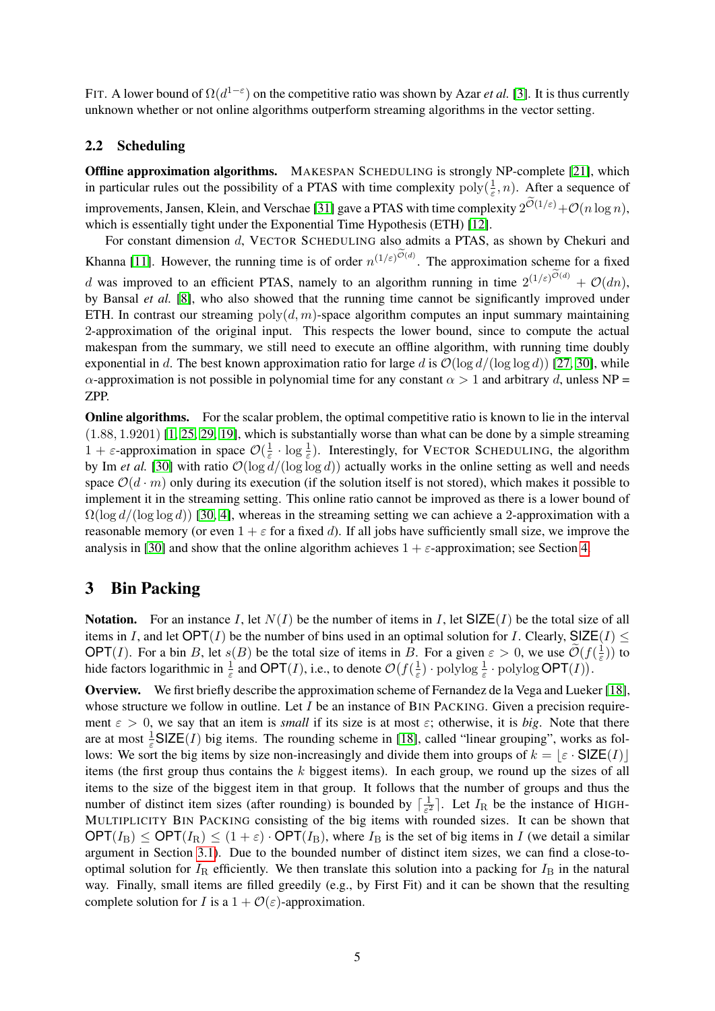FIT. A lower bound of  $\Omega(d^{1-\epsilon})$  on the competitive ratio was shown by Azar *et al*. [\[3\]](#page-16-11). It is thus currently unknown whether or not online algorithms outperform streaming algorithms in the vector setting.

### 2.2 Scheduling

**Offline approximation algorithms.** MAKESPAN SCHEDULING is strongly NP-complete [\[21\]](#page-17-9), which in particular rules out the possibility of a PTAS with time complexity  $poly(\frac{1}{\varepsilon}, n)$ . After a sequence of improvements, Jansen, Klein, and Verschae [\[31\]](#page-17-10) gave a PTAS with time complexity  $2^{\mathcal{O}(1/\varepsilon)} + \mathcal{O}(n \log n)$ , which is essentially tight under the Exponential Time Hypothesis (ETH) [\[12\]](#page-16-12).

For constant dimension *d*, VECTOR SCHEDULING also admits a PTAS, as shown by Chekuri and Khanna [\[11\]](#page-16-6). However, the running time is of order  $n^{(1/\varepsilon)^{O(d)}}$ . The approximation scheme for a fixed *d* was improved to an efficient PTAS, namely to an algorithm running in time  $2^{(1/\varepsilon)^{O(d)}} + \mathcal{O}(dn)$ , by Bansal *et al.* [\[8\]](#page-16-3), who also showed that the running time cannot be significantly improved under ETH. In contrast our streaming  $poly(d, m)$ -space algorithm computes an input summary maintaining 2-approximation of the original input. This respects the lower bound, since to compute the actual makespan from the summary, we still need to execute an offline algorithm, with running time doubly exponential in *d*. The best known approximation ratio for large *d* is  $\mathcal{O}(\log d/(\log \log d))$  [\[27,](#page-17-11) [30\]](#page-17-12), while *α*-approximation is not possible in polynomial time for any constant  $\alpha > 1$  and arbitrary *d*, unless NP ZPP.

**Online algorithms.** For the scalar problem, the optimal competitive ratio is known to lie in the interval (1*.*88*,* 1*.*9201) [\[1,](#page-15-0) [25,](#page-17-13) [29,](#page-17-14) [19\]](#page-17-15), which is substantially worse than what can be done by a simple streaming  $1 + \varepsilon$ -approximation in space  $\mathcal{O}(\frac{1}{\varepsilon})$  $\frac{1}{\varepsilon} \cdot \log \frac{1}{\varepsilon}$ ). Interestingly, for VECTOR SCHEDULING, the algorithm by Im *et al.* [\[30\]](#page-17-12) with ratio  $\mathcal{O}(\log d/(\log \log d))$  actually works in the online setting as well and needs space  $\mathcal{O}(d \cdot m)$  only during its execution (if the solution itself is not stored), which makes it possible to implement it in the streaming setting. This online ratio cannot be improved as there is a lower bound of  $\Omega(\log d/(\log \log d))$  [\[30,](#page-17-12) [4\]](#page-16-13), whereas in the streaming setting we can achieve a 2-approximation with a reasonable memory (or even  $1 + \varepsilon$  for a fixed *d*). If all jobs have sufficiently small size, we improve the analysis in [\[30\]](#page-17-12) and show that the online algorithm achieves  $1 + \varepsilon$ -approximation; see Section [4.](#page-11-0)

## <span id="page-4-0"></span>3 Bin Packing

**Notation.** For an instance *I*, let  $N(I)$  be the number of items in *I*, let  $SIZE(I)$  be the total size of all items in *I*, and let  $OPT(I)$  be the number of bins used in an optimal solution for *I*. Clearly, SIZE(*I*)  $\leq$  $\mathsf{OPT}(I)$ . For a bin *B*, let  $s(B)$  be the total size of items in *B*. For a given  $\varepsilon > 0$ , we use  $\widetilde{\mathcal{O}}(f(\frac{1}{\varepsilon}))$  $(\frac{1}{\varepsilon})$ ) to hide factors logarithmic in  $\frac{1}{\varepsilon}$  and OPT(*I*), i.e., to denote  $\mathcal{O}(f(\frac{1}{\varepsilon}))$  $\frac{1}{\varepsilon}$ ) · polylog  $\frac{1}{\varepsilon}$  · polylog **OPT**(*I*)).

Overview. We first briefly describe the approximation scheme of Fernandez de la Vega and Lueker [\[18\]](#page-17-1), whose structure we follow in outline. Let *I* be an instance of BIN PACKING. Given a precision requirement  $\varepsilon > 0$ , we say that an item is *small* if its size is at most  $\varepsilon$ ; otherwise, it is *big*. Note that there are at most  $\frac{1}{\varepsilon}$ **SIZE**(*I*) big items. The rounding scheme in [\[18\]](#page-17-1), called "linear grouping", works as follows: We sort the big items by size non-increasingly and divide them into groups of  $k = \lvert \varepsilon \cdot \mathsf{SIZE}(I) \rvert$ items (the first group thus contains the *k* biggest items). In each group, we round up the sizes of all items to the size of the biggest item in that group. It follows that the number of groups and thus the number of distinct item sizes (after rounding) is bounded by  $\left[\frac{1}{\epsilon^2}\right]$  $\frac{1}{\varepsilon^2}$ . Let  $I_R$  be the instance of HIGH-MULTIPLICITY BIN PACKING consisting of the big items with rounded sizes. It can be shown that  $OPT(I_B) \leq OPT(I_R) \leq (1+\varepsilon) \cdot OPT(I_B)$ , where  $I_B$  is the set of big items in *I* (we detail a similar argument in Section [3.1\)](#page-6-0). Due to the bounded number of distinct item sizes, we can find a close-tooptimal solution for  $I_R$  efficiently. We then translate this solution into a packing for  $I_B$  in the natural way. Finally, small items are filled greedily (e.g., by First Fit) and it can be shown that the resulting complete solution for *I* is a  $1 + \mathcal{O}(\varepsilon)$ -approximation.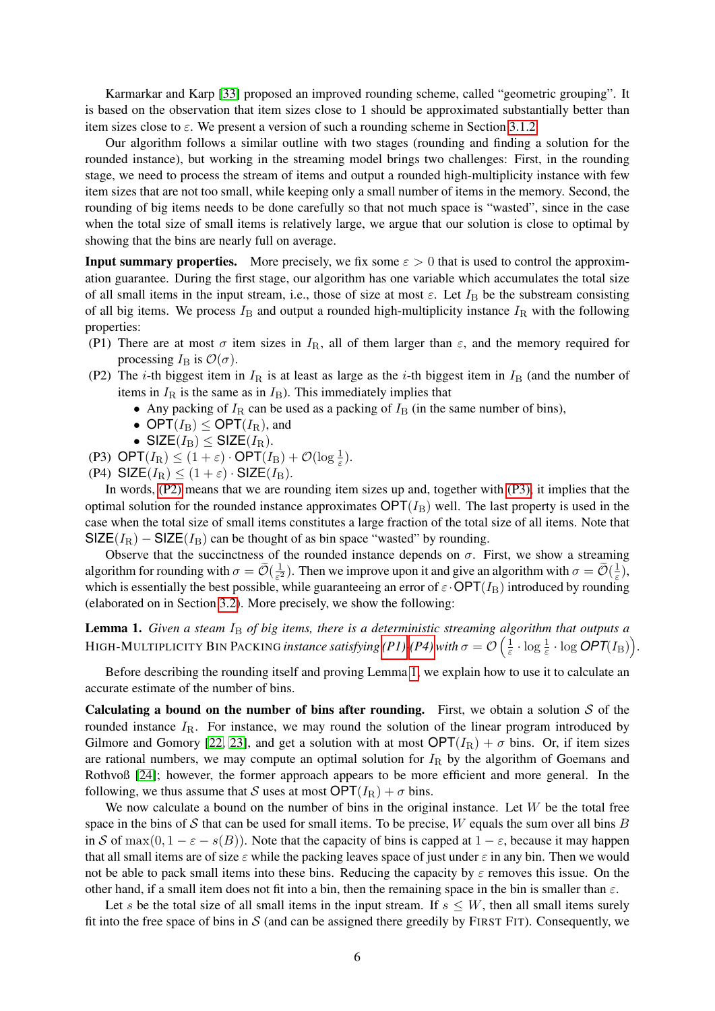Karmarkar and Karp [\[33\]](#page-18-2) proposed an improved rounding scheme, called "geometric grouping". It is based on the observation that item sizes close to 1 should be approximated substantially better than item sizes close to *ε*. We present a version of such a rounding scheme in Section [3.1.2.](#page-8-0)

Our algorithm follows a similar outline with two stages (rounding and finding a solution for the rounded instance), but working in the streaming model brings two challenges: First, in the rounding stage, we need to process the stream of items and output a rounded high-multiplicity instance with few item sizes that are not too small, while keeping only a small number of items in the memory. Second, the rounding of big items needs to be done carefully so that not much space is "wasted", since in the case when the total size of small items is relatively large, we argue that our solution is close to optimal by showing that the bins are nearly full on average.

**Input summary properties.** More precisely, we fix some  $\varepsilon > 0$  that is used to control the approximation guarantee. During the first stage, our algorithm has one variable which accumulates the total size of all small items in the input stream, i.e., those of size at most  $\varepsilon$ . Let  $I_{\text{B}}$  be the substream consisting of all big items. We process  $I_B$  and output a rounded high-multiplicity instance  $I_R$  with the following properties:

- <span id="page-5-2"></span>(P1) There are at most  $\sigma$  item sizes in  $I_R$ , all of them larger than  $\varepsilon$ , and the memory required for processing  $I_{\text{B}}$  is  $\mathcal{O}(\sigma)$ .
- <span id="page-5-0"></span>(P2) The *i*-th biggest item in  $I_R$  is at least as large as the *i*-th biggest item in  $I_B$  (and the number of items in  $I_R$  is the same as in  $I_B$ ). This immediately implies that
	- Any packing of  $I_R$  can be used as a packing of  $I_B$  (in the same number of bins),
	- OPT $(I_{\text{B}}) \leq$  OPT $(I_{\text{R}})$ , and
	- SIZE( $I_{\text{B}}$ )  $\leq$  SIZE( $I_{\text{R}}$ ).

<span id="page-5-1"></span>(P3)  $\mathsf{OPT}(I_{\mathbf{R}}) \leq (1+\varepsilon) \cdot \mathsf{OPT}(I_{\mathbf{B}}) + \mathcal{O}(\log \frac{1}{\varepsilon}).$ 

<span id="page-5-3"></span>(P4)  $\text{SIZE}(I_{\text{R}}) \leq (1+\varepsilon) \cdot \text{SIZE}(I_{\text{B}}).$ 

In words, [\(P2\)](#page-5-0) means that we are rounding item sizes up and, together with [\(P3\),](#page-5-1) it implies that the optimal solution for the rounded instance approximates  $\mathsf{OPT}(I_{\mathrm{B}})$  well. The last property is used in the case when the total size of small items constitutes a large fraction of the total size of all items. Note that  $SIZE(I_R) - SIZE(I_B)$  can be thought of as bin space "wasted" by rounding.

Observe that the succinctness of the rounded instance depends on  $\sigma$ . First, we show a streaming algorithm for rounding with  $\sigma = \widetilde{\mathcal{O}}(\frac{1}{\varepsilon^2})$  $\frac{1}{\epsilon^2}$ ). Then we improve upon it and give an algorithm with  $\sigma = \tilde{\mathcal{O}}(\frac{1}{\epsilon})$ *ε* ), which is essentially the best possible, while guaranteeing an error of  $\varepsilon$ ·OPT( $I_B$ ) introduced by rounding (elaborated on in Section [3.2\)](#page-9-0). More precisely, we show the following:

<span id="page-5-4"></span>Lemma 1. Given a steam I<sub>B</sub> of big items, there is a deterministic streaming algorithm that outputs a HIGH-MULTIPLICITY BIN PACKING *instance satisfying (P1)*-*(P4)* with  $\sigma = \mathcal{O}\left(\frac{1}{\varepsilon}\right)$  $\frac{1}{\varepsilon} \cdot \log \frac{1}{\varepsilon} \cdot \log \text{OPT}(I_{\text{B}})$ .

Before describing the rounding itself and proving Lemma [1,](#page-5-4) we explain how to use it to calculate an accurate estimate of the number of bins.

Calculating a bound on the number of bins after rounding. First, we obtain a solution  $S$  of the rounded instance  $I<sub>R</sub>$ . For instance, we may round the solution of the linear program introduced by Gilmore and Gomory [\[22,](#page-17-5) [23\]](#page-17-6), and get a solution with at most  $\mathsf{OPT}(I_{\mathrm{R}}) + \sigma$  bins. Or, if item sizes are rational numbers, we may compute an optimal solution for  $I_R$  by the algorithm of Goemans and Rothvoß [\[24\]](#page-17-3); however, the former approach appears to be more efficient and more general. In the following, we thus assume that S uses at most  $\mathsf{OPT}(I_{\mathsf{R}}) + \sigma$  bins.

We now calculate a bound on the number of bins in the original instance. Let *W* be the total free space in the bins of  $S$  that can be used for small items. To be precise,  $W$  equals the sum over all bins  $B$ in S of max $(0, 1 - \varepsilon - s(B))$ . Note that the capacity of bins is capped at  $1 - \varepsilon$ , because it may happen that all small items are of size *ε* while the packing leaves space of just under *ε* in any bin. Then we would not be able to pack small items into these bins. Reducing the capacity by *ε* removes this issue. On the other hand, if a small item does not fit into a bin, then the remaining space in the bin is smaller than *ε*.

Let *s* be the total size of all small items in the input stream. If  $s \leq W$ , then all small items surely fit into the free space of bins in  $S$  (and can be assigned there greedily by FIRST FIT). Consequently, we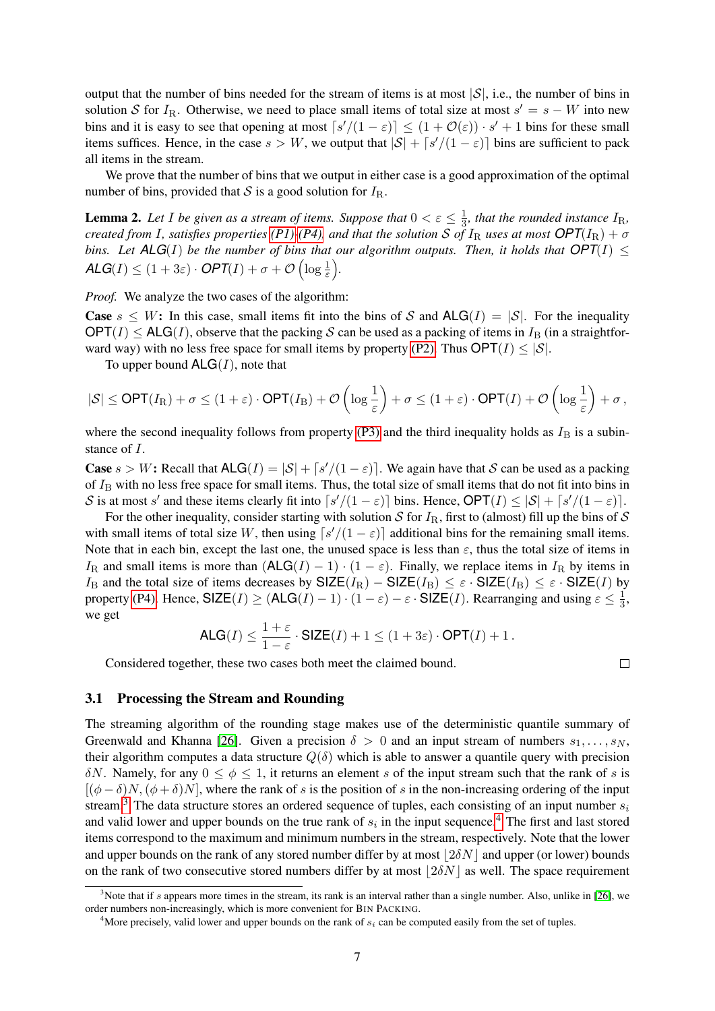output that the number of bins needed for the stream of items is at most  $|S|$ , i.e., the number of bins in solution S for  $I_R$ . Otherwise, we need to place small items of total size at most  $s' = s - W$  into new bins and it is easy to see that opening at most  $\lceil s'/(1 - \varepsilon) \rceil \leq (1 + \mathcal{O}(\varepsilon)) \cdot s' + 1$  bins for these small items suffices. Hence, in the case  $s > W$ , we output that  $|\mathcal{S}| + \lceil s'/(1 - \varepsilon) \rceil$  bins are sufficient to pack all items in the stream.

We prove that the number of bins that we output in either case is a good approximation of the optimal number of bins, provided that  $S$  is a good solution for  $I_R$ .

**Lemma 2.** Let *I* be given as a stream of items. Suppose that  $0 < \varepsilon \leq \frac{1}{3}$  $\frac{1}{3}$ *, that the rounded instance*  $I_{\rm R}$ *, created from I, satisfies properties* [\(P1\)-](#page-5-2)[\(P4\),](#page-5-3) and that the solution S of  $I_R$  uses at most  $\text{OPT}(I_R) + \sigma$ *bins. Let*  $ALG(I)$  *be the number of bins that our algorithm outputs. Then, it holds that*  $OPT(I) \leq$  $\mathsf{ALG}(I) \leq (1+3\varepsilon) \cdot \mathsf{OPT}(I) + \sigma + \mathcal{O}\left(\log \frac{1}{\varepsilon}\right).$ 

*Proof.* We analyze the two cases of the algorithm:

**Case**  $s \leq W$ : In this case, small items fit into the bins of S and ALG(*I*) =  $|S|$ . For the inequality  $\text{OPT}(I) \leq \text{ALG}(I)$ , observe that the packing S can be used as a packing of items in  $I_{\text{B}}$  (in a straightfor-ward way) with no less free space for small items by property [\(P2\).](#page-5-0) Thus  $\mathsf{OPT}(I) \leq |\mathcal{S}|$ .

To upper bound ALG(*I*), note that

$$
|\mathcal{S}| \le \mathsf{OPT}(I_{\mathrm{R}}) + \sigma \le (1+\varepsilon)\cdot \mathsf{OPT}(I_{\mathrm{B}}) + \mathcal{O}\left(\log \frac{1}{\varepsilon}\right) + \sigma \le (1+\varepsilon)\cdot \mathsf{OPT}(I) + \mathcal{O}\left(\log \frac{1}{\varepsilon}\right) + \sigma,
$$

where the second inequality follows from property  $(P3)$  and the third inequality holds as  $I<sub>B</sub>$  is a subinstance of *I*.

**Case**  $s > W$ : Recall that  $ALG(I) = |\mathcal{S}| + \lceil s'/(1 - \varepsilon) \rceil$ . We again have that S can be used as a packing of *I*<sub>B</sub> with no less free space for small items. Thus, the total size of small items that do not fit into bins in S is at most *s'* and these items clearly fit into  $\lceil s'/(1 - \varepsilon) \rceil$  bins. Hence, OPT $(I) \leq |\mathcal{S}| + \lceil s'/(1 - \varepsilon) \rceil$ .

For the other inequality, consider starting with solution S for  $I_R$ , first to (almost) fill up the bins of S with small items of total size W, then using  $\lceil s'/(1 - \varepsilon) \rceil$  additional bins for the remaining small items. Note that in each bin, except the last one, the unused space is less than  $\varepsilon$ , thus the total size of items in *I*<sub>R</sub> and small items is more than  $(ALG(I) - 1) \cdot (1 - \varepsilon)$ . Finally, we replace items in  $I_R$  by items in *I*<sub>B</sub> and the total size of items decreases by  $\text{SIZE}(I_R) - \text{SIZE}(I_B) \leq \varepsilon \cdot \text{SIZE}(I_B) \leq \varepsilon \cdot \text{SIZE}(I)$  by property [\(P4\).](#page-5-3) Hence,  $SIZE(I) \geq (ALG(I) - 1) \cdot (1 - \varepsilon) - \varepsilon \cdot SIZE(I)$ . Rearranging and using  $\varepsilon \leq \frac{1}{3}$  $\frac{1}{3}$ , we get

$$
\mathsf{ALG}(I) \le \frac{1+\varepsilon}{1-\varepsilon} \cdot \mathsf{SIZE}(I) + 1 \le (1+3\varepsilon) \cdot \mathsf{OPT}(I) + 1.
$$

Considered together, these two cases both meet the claimed bound.

 $\Box$ 

#### <span id="page-6-0"></span>3.1 Processing the Stream and Rounding

The streaming algorithm of the rounding stage makes use of the deterministic quantile summary of Greenwald and Khanna [\[26\]](#page-17-0). Given a precision  $\delta > 0$  and an input stream of numbers  $s_1, \ldots, s_N$ , their algorithm computes a data structure  $Q(\delta)$  which is able to answer a quantile query with precision *δN*. Namely, for any  $0 \le \phi \le 1$ , it returns an element *s* of the input stream such that the rank of *s* is  $[(\phi - \delta)N, (\phi + \delta)N]$ , where the rank of *s* is the position of *s* in the non-increasing ordering of the input stream.<sup>[3](#page-6-1)</sup> The data structure stores an ordered sequence of tuples, each consisting of an input number  $s_i$ and valid lower and upper bounds on the true rank of  $s_i$  in the input sequence.<sup>[4](#page-6-2)</sup> The first and last stored items correspond to the maximum and minimum numbers in the stream, respectively. Note that the lower and upper bounds on the rank of any stored number differ by at most  $\left| 2 \delta N \right|$  and upper (or lower) bounds on the rank of two consecutive stored numbers differ by at most  $\left| 2\delta N \right|$  as well. The space requirement

<span id="page-6-1"></span><sup>&</sup>lt;sup>3</sup>Note that if *s* appears more times in the stream, its rank is an interval rather than a single number. Also, unlike in [\[26\]](#page-17-0), we order numbers non-increasingly, which is more convenient for BIN PACKING.

<span id="page-6-2"></span><sup>&</sup>lt;sup>4</sup>More precisely, valid lower and upper bounds on the rank of  $s_i$  can be computed easily from the set of tuples.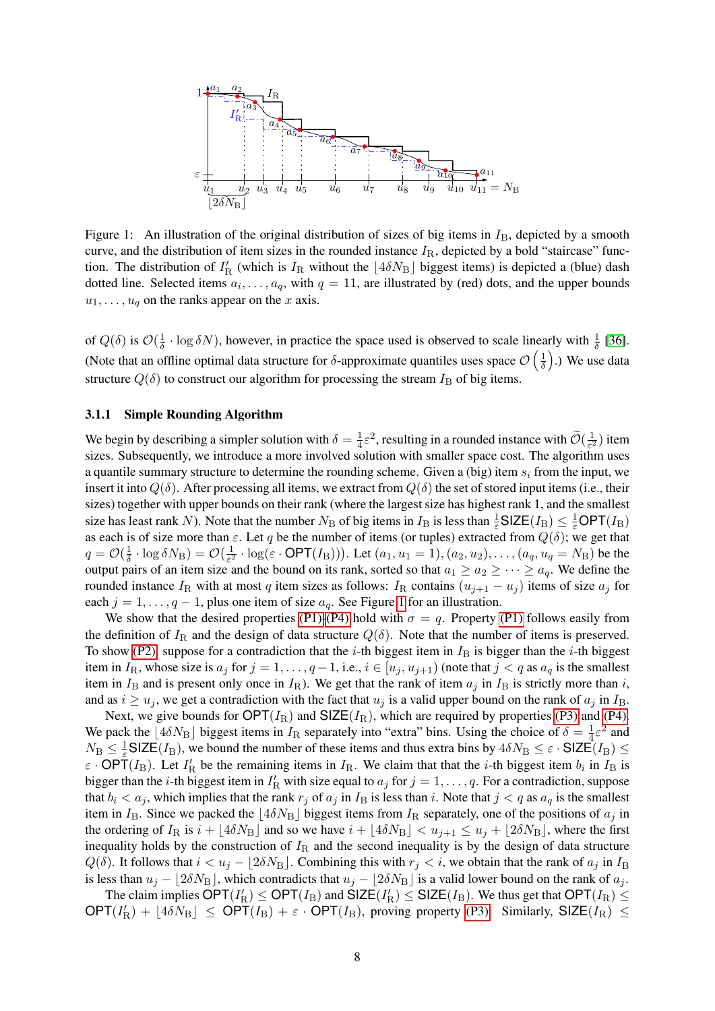

<span id="page-7-0"></span>Figure 1: An illustration of the original distribution of sizes of big items in  $I_B$ , depicted by a smooth curve, and the distribution of item sizes in the rounded instance  $I<sub>R</sub>$ , depicted by a bold "staircase" function. The distribution of  $I'_R$  (which is  $I_R$  without the  $\lfloor 4\delta N_B \rfloor$  biggest items) is depicted a (blue) dash dotted line. Selected items  $a_i, \ldots, a_q$ , with  $q = 11$ , are illustrated by (red) dots, and the upper bounds  $u_1, \ldots, u_q$  on the ranks appear on the *x* axis.

of  $Q(\delta)$  is  $\mathcal{O}(\frac{1}{\delta})$  $\frac{1}{\delta} \cdot \log \delta N$ ), however, in practice the space used is observed to scale linearly with  $\frac{1}{\delta}$  [\[36\]](#page-18-5). (Note that an offline optimal data structure for  $\delta$ -approximate quantiles uses space  $\mathcal{O}\left(\frac{1}{\delta}\right)$  $\frac{1}{\delta}$ .) We use data structure  $Q(\delta)$  to construct our algorithm for processing the stream  $I_B$  of big items.

#### 3.1.1 Simple Rounding Algorithm

We begin by describing a simpler solution with  $\delta = \frac{1}{4}$  $\frac{1}{4}\varepsilon^2$ , resulting in a rounded instance with  $\widetilde{\mathcal{O}}(\frac{1}{\varepsilon^2})$  $\frac{1}{\varepsilon^2}$ ) item sizes. Subsequently, we introduce a more involved solution with smaller space cost. The algorithm uses a quantile summary structure to determine the rounding scheme. Given a (big) item *s<sup>i</sup>* from the input, we insert it into  $Q(\delta)$ . After processing all items, we extract from  $Q(\delta)$  the set of stored input items (i.e., their sizes) together with upper bounds on their rank (where the largest size has highest rank 1, and the smallest size has least rank *N*). Note that the number  $N_B$  of big items in  $I_B$  is less than  $\frac{1}{\varepsilon}$ SIZE( $I_B$ )  $\leq \frac{1}{\varepsilon}$ OPT( $I_B$ ) as each is of size more than  $\varepsilon$ . Let q be the number of items (or tuples) extracted from  $Q(\delta)$ ; we get that  $q = \mathcal{O}(\frac{1}{\delta})$  $\frac{1}{\delta} \cdot \log \delta N_{\text{B}}) = \mathcal{O}(\frac{1}{\varepsilon^2})$  $\frac{1}{\varepsilon^2} \cdot \log(\varepsilon \cdot \text{OPT}(I_{\text{B}})))$ . Let  $(a_1, u_1 = 1), (a_2, u_2), \dots, (a_q, u_q = N_{\text{B}})$  be the output pairs of an item size and the bound on its rank, sorted so that  $a_1 \ge a_2 \ge \cdots \ge a_q$ . We define the rounded instance  $I_R$  with at most *q* item sizes as follows:  $I_R$  contains  $(u_{j+1} - u_j)$  items of size  $a_j$  for each  $j = 1, \ldots, q - 1$  $j = 1, \ldots, q - 1$  $j = 1, \ldots, q - 1$ , plus one item of size  $a_q$ . See Figure 1 for an illustration.

We show that the desired properties [\(P1\)](#page-5-2)[-\(P4\)](#page-5-3) hold with  $\sigma = q$ . Property (P1) follows easily from the definition of  $I_R$  and the design of data structure  $Q(\delta)$ . Note that the number of items is preserved. To show [\(P2\),](#page-5-0) suppose for a contradiction that the  $i$ -th biggest item in  $I_B$  is bigger than the  $i$ -th biggest item in  $I_R$ , whose size is  $a_j$  for  $j = 1, \ldots, q-1$ , i.e.,  $i \in [u_j, u_{j+1})$  (note that  $j < q$  as  $a_q$  is the smallest item in  $I_B$  and is present only once in  $I_R$ ). We get that the rank of item  $a_j$  in  $I_B$  is strictly more than *i*, and as  $i \geq u_j$ , we get a contradiction with the fact that  $u_j$  is a valid upper bound on the rank of  $a_j$  in  $I_B$ .

Next, we give bounds for  $\mathsf{OPT}(I_R)$  and  $\mathsf{SIZE}(I_R)$ , which are required by properties [\(P3\)](#page-5-1) and [\(P4\).](#page-5-3) We pack the  $\lfloor 4\delta N_B \rfloor$  biggest items in *I*<sub>R</sub> separately into "extra" bins. Using the choice of  $\delta = \frac{1}{4}$  $rac{1}{4} \varepsilon^2$  and  $N_{\rm B} \leq \frac{1}{\varepsilon}$  $\frac{1}{\varepsilon}$ SIZE(*I*<sub>B</sub>), we bound the number of these items and thus extra bins by  $4\delta N_B \leq \varepsilon \cdot$  SIZE(*I*<sub>B</sub>)  $\leq$  $\varepsilon$  · OPT(*I*<sub>B</sub>). Let *I*<sub>R</sub> be the remaining items in *I*<sub>R</sub>. We claim that that the *i*-th biggest item *b<sub>i</sub>* in *I*<sub>B</sub> is bigger than the *i*-th biggest item in  $I'_R$  with size equal to  $a_j$  for  $j = 1, \ldots, q$ . For a contradiction, suppose that  $b_i < a_j$ , which implies that the rank  $r_j$  of  $a_j$  in  $I_B$  is less than *i*. Note that  $j < q$  as  $a_q$  is the smallest item in *I*<sub>B</sub>. Since we packed the  $\left| 4 \delta N_B \right|$  biggest items from *I*<sub>R</sub> separately, one of the positions of  $a_j$  in the ordering of  $I_R$  is  $i + [4\delta N_B]$  and so we have  $i + [4\delta N_B] < u_{j+1} \le u_j + [2\delta N_B]$ , where the first inequality holds by the construction of  $I_R$  and the second inequality is by the design of data structure  $Q(\delta)$ . It follows that  $i < u_j - 2\delta N_B$ . Combining this with  $r_j < i$ , we obtain that the rank of  $a_j$  in  $I_B$ is less than  $u_j - 2\delta N_B$ , which contradicts that  $u_j - 2\delta N_B$  is a valid lower bound on the rank of  $a_j$ .

The claim implies  $\mathsf{OPT}(I'_R)\leq \mathsf{OPT}(I_B)$  and  $\mathsf{SIZE}(I'_R)\leq \mathsf{SIZE}(I_B)$ . We thus get that  $\mathsf{OPT}(I_R)\leq$  $\text{OPT}(I'_R) + \lfloor 4\delta N_B \rfloor \leq \text{OPT}(I_B) + \varepsilon \cdot \text{OPT}(I_B)$ , proving property [\(P3\).](#page-5-1) Similarly, SIZE( $I_R$ )  $\leq$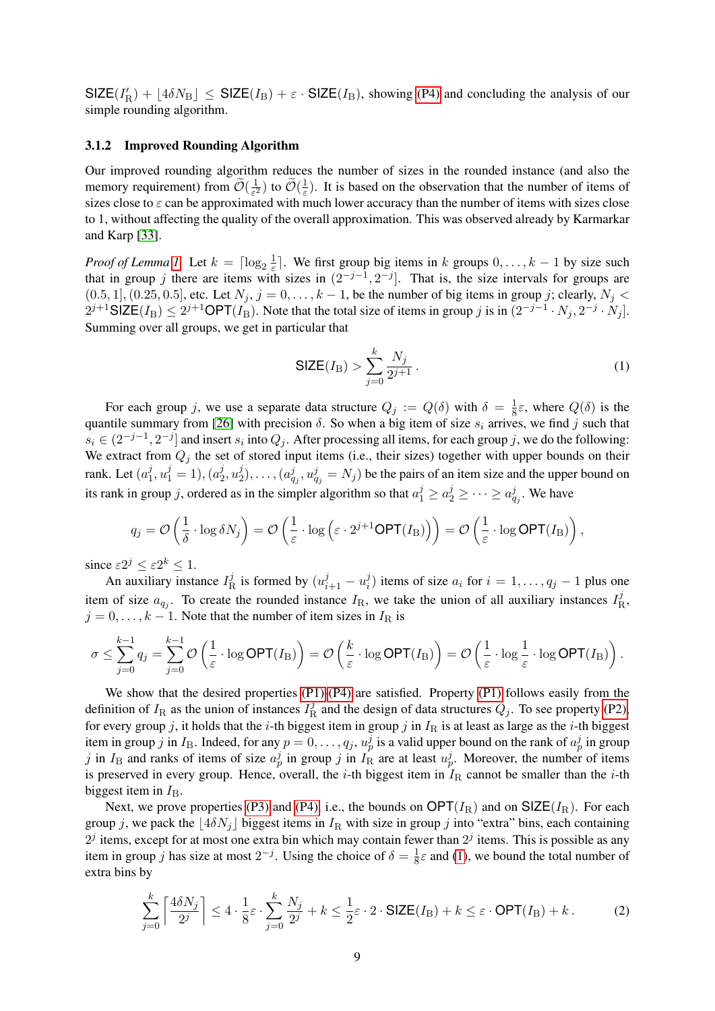$SIZE(I'_R) + [4\delta N_B] \leq SIZE(I_B) + \varepsilon \cdot SIZE(I_B)$ , showing [\(P4\)](#page-5-3) and concluding the analysis of our simple rounding algorithm.

#### <span id="page-8-0"></span>3.1.2 Improved Rounding Algorithm

Our improved rounding algorithm reduces the number of sizes in the rounded instance (and also the memory requirement) from  $\widetilde{\mathcal{O}}(\frac{1}{\varepsilon^2})$  $\frac{1}{\varepsilon^2}$ ) to  $\widetilde{\mathcal{O}}(\frac{1}{\varepsilon})$  $\frac{1}{\epsilon}$ ). It is based on the observation that the number of items of sizes close to  $\varepsilon$  can be approximated with much lower accuracy than the number of items with sizes close to 1, without affecting the quality of the overall approximation. This was observed already by Karmarkar and Karp [\[33\]](#page-18-2).

*Proof of Lemma [1.](#page-5-4)* Let  $k = \lceil \log_2 \frac{1}{\varepsilon} \rceil$  $\frac{1}{\varepsilon}$ . We first group big items in *k* groups  $0, \ldots, k - 1$  by size such that in group *j* there are items with sizes in  $(2^{-j-1}, 2^{-j}]$ . That is, the size intervals for groups are  $(0.5, 1]$ ,  $(0.25, 0.5]$ , etc. Let  $N_j$ ,  $j = 0, \ldots, k - 1$ , be the number of big items in group *j*; clearly,  $N_j <$  $2^{j+1}$ SIZE(*I*<sub>B</sub>) ≤  $2^{j+1}$ OPT(*I*<sub>B</sub>). Note that the total size of items in group *j* is in  $(2^{-j-1} \cdot N_j, 2^{-j} \cdot N_j)$ . Summing over all groups, we get in particular that

<span id="page-8-1"></span>
$$
\mathsf{SIZE}(I_{\mathrm{B}}) > \sum_{j=0}^{k} \frac{N_j}{2^{j+1}}.
$$
\n(1)

For each group *j*, we use a separate data structure  $Q_j := Q(\delta)$  with  $\delta = \frac{1}{8}$  $\frac{1}{8}\varepsilon$ , where  $Q(\delta)$  is the quantile summary from [\[26\]](#page-17-0) with precision  $\delta$ . So when a big item of size  $s_i$  arrives, we find *j* such that  $s_i \in (2^{-j-1}, 2^{-j}]$  and insert  $s_i$  into  $Q_j$ . After processing all items, for each group *j*, we do the following: We extract from  $Q_i$  the set of stored input items (i.e., their sizes) together with upper bounds on their rank. Let  $(a_1^j)$  $y_1^j, u_1^j = 1$ ),  $(a_2^j)$  $\frac{j}{2},u_2^j$  $\{a_2^j\}, \ldots, (a_{q_j}^j, u_{q_j}^j = N_j)$  be the pairs of an item size and the upper bound on its rank in group *j*, ordered as in the simpler algorithm so that  $a_1^j \ge a_2^j \ge \cdots \ge a_{q_j}^j$ . We have

$$
q_j = \mathcal{O}\left(\frac{1}{\delta} \cdot \log \delta N_j\right) = \mathcal{O}\left(\frac{1}{\varepsilon} \cdot \log \left(\varepsilon \cdot 2^{j+1} \mathsf{OPT}(I_{\mathrm{B}})\right)\right) = \mathcal{O}\left(\frac{1}{\varepsilon} \cdot \log \mathsf{OPT}(I_{\mathrm{B}})\right),
$$

since  $\varepsilon 2^j \leq \varepsilon 2^k \leq 1$ .

An auxiliary instance  $I<sub>F</sub><sup>j</sup>$  $\frac{j}{R}$  is formed by  $(u_{i+1}^j - u_i^j)$  $a_i^j$ ) items of size  $a_i$  for  $i = 1, \ldots, q_j - 1$  plus one item of size  $a_{qj}$ . To create the rounded instance  $I_R$ , we take the union of all auxiliary instances  $I_P^j$  $_{\rm R}^{\jmath},$  $j = 0, \ldots, k - 1$ . Note that the number of item sizes in  $I_R$  is

$$
\sigma \leq \sum_{j=0}^{k-1} q_j = \sum_{j=0}^{k-1} \mathcal{O}\left(\frac{1}{\varepsilon} \cdot \log \mathsf{OPT}(I_\mathsf{B})\right) = \mathcal{O}\left(\frac{k}{\varepsilon} \cdot \log \mathsf{OPT}(I_\mathsf{B})\right) = \mathcal{O}\left(\frac{1}{\varepsilon} \cdot \log \frac{1}{\varepsilon} \cdot \log \mathsf{OPT}(I_\mathsf{B})\right).
$$

We show that the desired properties [\(P1\)-](#page-5-2)[\(P4\)](#page-5-3) are satisfied. Property [\(P1\)](#page-5-2) follows easily from the definition of  $I_R$  as the union of instances  $I_P^j$  $R_{\rm R}^{\rm J}$  and the design of data structures  $Q_j$ . To see property [\(P2\),](#page-5-0) for every group  $j$ , it holds that the  $i$ -th biggest item in group  $j$  in  $I_R$  is at least as large as the  $i$ -th biggest item in group *j* in *I*<sub>B</sub>. Indeed, for any  $p = 0, \ldots, q_j, u_p^j$  is a valid upper bound on the rank of  $a_p^j$  in group *j* in  $I_B$  and ranks of items of size  $a_p^j$  in group *j* in  $I_R$  are at least  $u_p^j$ . Moreover, the number of items is preserved in every group. Hence, overall, the *i*-th biggest item in  $I<sub>R</sub>$  cannot be smaller than the *i*-th biggest item in  $I_{\rm B}$ .

Next, we prove properties [\(P3\)](#page-5-1) and [\(P4\),](#page-5-3) i.e., the bounds on  $\text{OPT}(I_R)$  and on  $\text{SIZE}(I_R)$ . For each group *j*, we pack the  $\left|4\delta N_i\right|$  biggest items in  $I_R$  with size in group *j* into "extra" bins, each containing  $2<sup>j</sup>$  items, except for at most one extra bin which may contain fewer than  $2<sup>j</sup>$  items. This is possible as any item in group *j* has size at most  $2^{-j}$ . Using the choice of  $\delta = \frac{1}{8}$  $\frac{1}{8}\varepsilon$  and [\(1\)](#page-8-1), we bound the total number of extra bins by

<span id="page-8-2"></span>
$$
\sum_{j=0}^{k} \left\lceil \frac{4\delta N_j}{2^j} \right\rceil \le 4 \cdot \frac{1}{8}\varepsilon \cdot \sum_{j=0}^{k} \frac{N_j}{2^j} + k \le \frac{1}{2}\varepsilon \cdot 2 \cdot \text{SIZE}(I_{\text{B}}) + k \le \varepsilon \cdot \text{OPT}(I_{\text{B}}) + k. \tag{2}
$$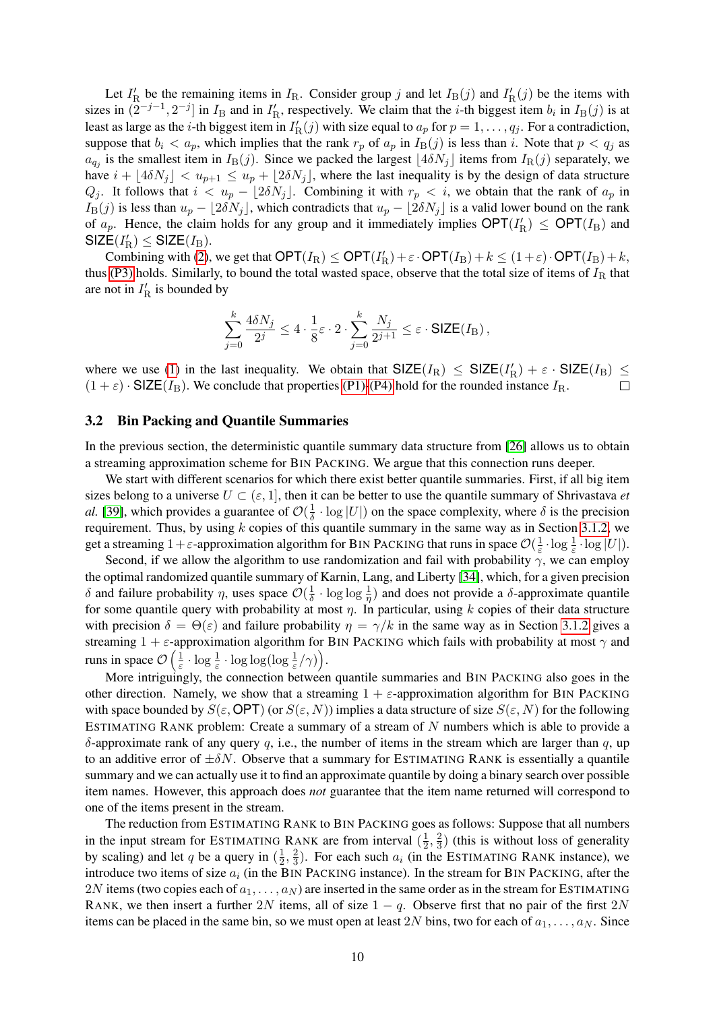Let  $I'_R$  be the remaining items in  $I_R$ . Consider group *j* and let  $I_B(j)$  and  $I'_R(j)$  be the items with sizes in  $(2^{-j-1}, 2^{-j}]$  in  $I_B$  and in  $I'_R$ , respectively. We claim that the *i*-th biggest item  $b_i$  in  $I_B(j)$  is at least as large as the *i*-th biggest item in  $I'_{R}(j)$  with size equal to  $a_p$  for  $p = 1, \ldots, q_j$ . For a contradiction, suppose that  $b_i < a_p$ , which implies that the rank  $r_p$  of  $a_p$  in  $I_B(j)$  is less than *i*. Note that  $p < q_j$  as *a*<sub>*q*</sub> is the smallest item in *I*<sub>B</sub>(*j*). Since we packed the largest  $\lfloor 4\delta N_j \rfloor$  items from *I*<sub>R</sub>(*j*) separately, we have  $i + [4\delta N_j] < u_{p+1} \leq u_p + [2\delta N_j]$ , where the last inequality is by the design of data structure *Q*<sub>j</sub>. It follows that  $i < u_p - \lfloor 2\delta N_f \rfloor$ . Combining it with  $r_p < i$ , we obtain that the rank of  $a_p$  in  $I_{\rm B}(j)$  is less than  $u_p - 2\delta N_j$ , which contradicts that  $u_p - 2\delta N_j$  is a valid lower bound on the rank of  $a_p$ . Hence, the claim holds for any group and it immediately implies  $\text{OPT}(I'_R) \leq \text{OPT}(I_B)$  and  $\mathsf{SIZE}(I'_R) \leq \mathsf{SIZE}(I_B).$ 

Combining with [\(2\)](#page-8-2), we get that  $\mathsf{OPT}(I_R) \leq \mathsf{OPT}(I_R') + \varepsilon \cdot \mathsf{OPT}(I_B) + k \leq (1+\varepsilon) \cdot \mathsf{OPT}(I_B) + k$ , thus [\(P3\)](#page-5-1) holds. Similarly, to bound the total wasted space, observe that the total size of items of  $I_R$  that are not in  $I'_{\rm R}$  is bounded by

$$
\sum_{j=0}^k \frac{4\delta N_j}{2^j} \leq 4 \cdot \frac{1}{8}\varepsilon \cdot 2 \cdot \sum_{j=0}^k \frac{N_j}{2^{j+1}} \leq \varepsilon \cdot \text{SIZE}(I_{\text{B}})\,,
$$

where we use [\(1\)](#page-8-1) in the last inequality. We obtain that  $SIZE(I_R) \leq SIZE(I'_R) + \varepsilon \cdot SIZE(I_B)$  $(1 + \varepsilon) \cdot \mathsf{SIZE}(I_{\mathrm{B}})$ . We conclude that properties [\(P1\)](#page-5-2)[-\(P4\)](#page-5-3) hold for the rounded instance  $I_{\mathrm{R}}$ .  $\Box$ 

#### <span id="page-9-0"></span>3.2 Bin Packing and Quantile Summaries

In the previous section, the deterministic quantile summary data structure from [\[26\]](#page-17-0) allows us to obtain a streaming approximation scheme for BIN PACKING. We argue that this connection runs deeper.

We start with different scenarios for which there exist better quantile summaries. First, if all big item sizes belong to a universe  $U \subset (\varepsilon, 1]$ , then it can be better to use the quantile summary of Shrivastava *et al.* [\[39\]](#page-18-6), which provides a guarantee of  $\mathcal{O}(\frac{1}{\delta})$  $\frac{1}{\delta} \cdot \log |U|$ ) on the space complexity, where  $\delta$  is the precision requirement. Thus, by using *k* copies of this quantile summary in the same way as in Section [3.1.2,](#page-8-0) we get a streaming  $1+\varepsilon$ -approximation algorithm for BIN PACKING that runs in space  $\mathcal{O}(\frac{1}{\varepsilon})$  $\frac{1}{\varepsilon} \cdot \log \frac{1}{\varepsilon} \cdot \log |U|$ ).

Second, if we allow the algorithm to use randomization and fail with probability  $\gamma$ , we can employ the optimal randomized quantile summary of Karnin, Lang, and Liberty [\[34\]](#page-18-7), which, for a given precision *δ* and failure probability *η*, uses space  $\mathcal{O}(\frac{1}{\delta})$  $\frac{1}{\delta} \cdot \log \log \frac{1}{\eta}$  and does not provide a *δ*-approximate quantile for some quantile query with probability at most *η*. In particular, using *k* copies of their data structure with precision  $\delta = \Theta(\varepsilon)$  and failure probability  $\eta = \gamma/k$  in the same way as in Section [3.1.2](#page-8-0) gives a streaming 1 + *ε*-approximation algorithm for BIN PACKING which fails with probability at most *γ* and runs in space  $\mathcal{O}\left(\frac{1}{\varepsilon}\right)$  $\frac{1}{\varepsilon} \cdot \log \frac{1}{\varepsilon} \cdot \log \log (\log \frac{1}{\varepsilon}/\gamma) \Big).$ 

More intriguingly, the connection between quantile summaries and BIN PACKING also goes in the other direction. Namely, we show that a streaming  $1 + \varepsilon$ -approximation algorithm for BIN PACKING with space bounded by  $S(\varepsilon, \text{OPT})$  (or  $S(\varepsilon, N)$ ) implies a data structure of size  $S(\varepsilon, N)$  for the following ESTIMATING RANK problem: Create a summary of a stream of *N* numbers which is able to provide a *δ*-approximate rank of any query *q*, i.e., the number of items in the stream which are larger than *q*, up to an additive error of  $\pm \delta N$ . Observe that a summary for ESTIMATING RANK is essentially a quantile summary and we can actually use it to find an approximate quantile by doing a binary search over possible item names. However, this approach does *not* guarantee that the item name returned will correspond to one of the items present in the stream.

The reduction from ESTIMATING RANK to BIN PACKING goes as follows: Suppose that all numbers in the input stream for ESTIMATING RANK are from interval  $(\frac{1}{2})$  $\frac{1}{2}$ ,  $\frac{2}{3}$  $\frac{2}{3}$ ) (this is without loss of generality by scaling) and let q be a query in  $(\frac{1}{2})$  $\frac{1}{2}$ ,  $\frac{2}{3}$  $\frac{2}{3}$ ). For each such  $a_i$  (in the ESTIMATING RANK instance), we introduce two items of size *a<sup>i</sup>* (in the BIN PACKING instance). In the stream for BIN PACKING, after the 2*N* items (two copies each of  $a_1, \ldots, a_N$ ) are inserted in the same order as in the stream for ESTIMATING RANK, we then insert a further 2*N* items, all of size  $1 - q$ . Observe first that no pair of the first 2*N* items can be placed in the same bin, so we must open at least 2*N* bins, two for each of  $a_1, \ldots, a_N$ . Since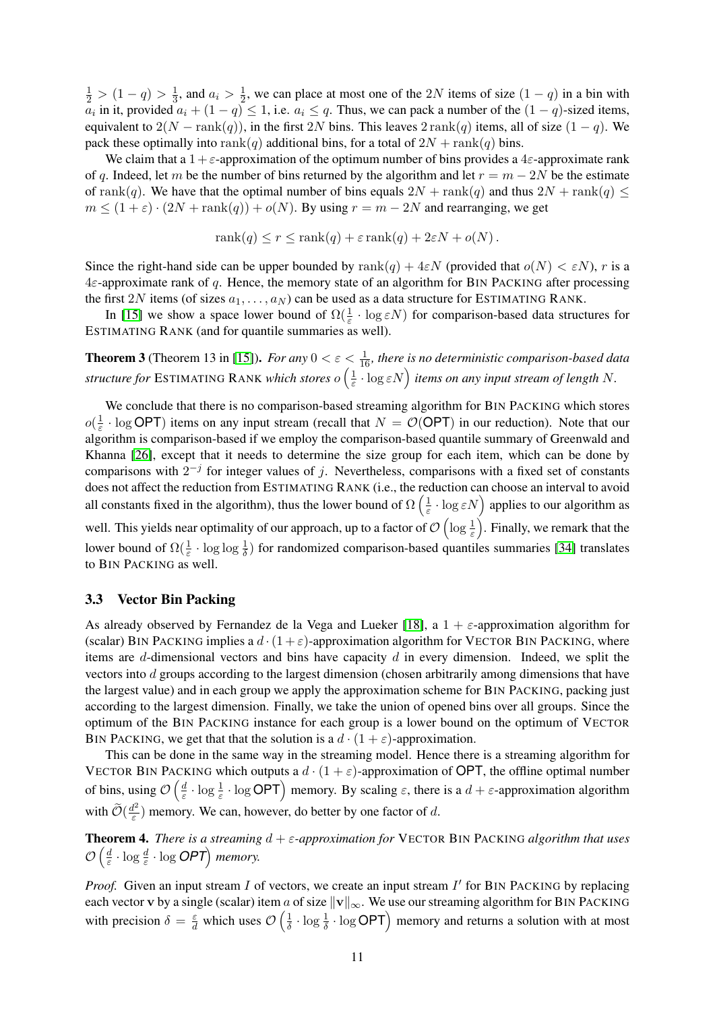$\frac{1}{2}$  >  $(1-q)$  >  $\frac{1}{3}$  $\frac{1}{3}$ , and  $a_i > \frac{1}{2}$  $\frac{1}{2}$ , we can place at most one of the 2*N* items of size  $(1 - q)$  in a bin with *a*<sup>*i*</sup> in it, provided  $a$ <sup>*i*</sup> + (1 − *q*) ≤ 1, i.e.  $a$ <sup>*i*</sup> ≤ *q*. Thus, we can pack a number of the (1 − *q*)-sized items, equivalent to  $2(N - \text{rank}(q))$ , in the first 2*N* bins. This leaves  $2 \text{rank}(q)$  items, all of size  $(1 - q)$ . We pack these optimally into rank(q) additional bins, for a total of  $2N + \text{rank}(q)$  bins.

We claim that a 1 +*ε*-approximation of the optimum number of bins provides a 4*ε*-approximate rank of q. Indeed, let m be the number of bins returned by the algorithm and let  $r = m - 2N$  be the estimate of rank(q). We have that the optimal number of bins equals  $2N + \text{rank}(q)$  and thus  $2N + \text{rank}(q) \leq$  $m \leq (1+\varepsilon) \cdot (2N + \text{rank}(q)) + o(N)$ . By using  $r = m - 2N$  and rearranging, we get

$$
rank(q) \le r \le rank(q) + \varepsilon rank(q) + 2\varepsilon N + o(N).
$$

Since the right-hand side can be upper bounded by rank(*q*) +  $4\varepsilon N$  (provided that  $o(N) < \varepsilon N$ ), *r* is a 4*ε*-approximate rank of *q*. Hence, the memory state of an algorithm for BIN PACKING after processing the first 2*N* items (of sizes  $a_1, \ldots, a_N$ ) can be used as a data structure for ESTIMATING RANK.

In [\[15\]](#page-16-14) we show a space lower bound of  $\Omega(\frac{1}{\varepsilon} \cdot \log \varepsilon N)$  for comparison-based data structures for ESTIMATING RANK (and for quantile summaries as well).

**Theorem 3** (Theorem 13 in [\[15\]](#page-16-14)). *For any*  $0 < \varepsilon < \frac{1}{16}$ , there is no deterministic comparison-based data *structure for* ESTIMATING RANK *which stores o* 1  $\frac{1}{\varepsilon} \cdot \log \varepsilon N$  *items on any input stream of length N*.

We conclude that there is no comparison-based streaming algorithm for BIN PACKING which stores  $o(\frac{1}{\varepsilon})$  $\frac{1}{\varepsilon} \cdot \log \text{OPT}$ ) items on any input stream (recall that  $N = \mathcal{O}(\text{OPT})$  in our reduction). Note that our algorithm is comparison-based if we employ the comparison-based quantile summary of Greenwald and Khanna [\[26\]](#page-17-0), except that it needs to determine the size group for each item, which can be done by comparisons with  $2^{-j}$  for integer values of *j*. Nevertheless, comparisons with a fixed set of constants does not affect the reduction from ESTIMATING RANK (i.e., the reduction can choose an interval to avoid all constants fixed in the algorithm), thus the lower bound of  $\Omega\left(\frac{1}{\epsilon}\right)$  $\frac{1}{\varepsilon} \cdot \log \varepsilon N$  applies to our algorithm as well. This yields near optimality of our approach, up to a factor of  $\mathcal{O}\left(\log\frac{1}{\varepsilon}\right)$ . Finally, we remark that the lower bound of  $\Omega(\frac{1}{\varepsilon} \cdot \log \log \frac{1}{\delta})$  for randomized comparison-based quantiles summaries [\[34\]](#page-18-7) translates

#### to BIN PACKING as well.

#### <span id="page-10-0"></span>3.3 Vector Bin Packing

As already observed by Fernandez de la Vega and Lueker [\[18\]](#page-17-1), a 1 + *ε*-approximation algorithm for (scalar) BIN PACKING implies a  $d \cdot (1 + \varepsilon)$ -approximation algorithm for VECTOR BIN PACKING, where items are *d*-dimensional vectors and bins have capacity *d* in every dimension. Indeed, we split the vectors into *d* groups according to the largest dimension (chosen arbitrarily among dimensions that have the largest value) and in each group we apply the approximation scheme for BIN PACKING, packing just according to the largest dimension. Finally, we take the union of opened bins over all groups. Since the optimum of the BIN PACKING instance for each group is a lower bound on the optimum of VECTOR BIN PACKING, we get that that the solution is a  $d \cdot (1 + \varepsilon)$ -approximation.

This can be done in the same way in the streaming model. Hence there is a streaming algorithm for VECTOR BIN PACKING which outputs a  $d \cdot (1 + \varepsilon)$ -approximation of **OPT**, the offline optimal number of bins, using  $\mathcal{O}\left(\frac{d}{\varepsilon}\right)$  $\frac{d}{\varepsilon} \cdot \log \frac{1}{\varepsilon} \cdot \log \textsf{OPT}$  memory. By scaling  $\varepsilon$ , there is a  $d + \varepsilon$ -approximation algorithm with  $\widetilde{\mathcal{O}}\left(\frac{d^2}{\varepsilon}\right)$  $\frac{d^2}{\varepsilon}$ ) memory. We can, however, do better by one factor of *d*.

Theorem 4. *There is a streaming d* + *ε-approximation for* VECTOR BIN PACKING *algorithm that uses*  $\mathcal{O}\left(\frac{d}{e}\right)$  $\frac{d}{\varepsilon} \cdot \log \frac{d}{\varepsilon} \cdot \log \mathsf{OPT}$  memory.

*Proof.* Given an input stream *I* of vectors, we create an input stream *I'* for BIN PACKING by replacing each vector **v** by a single (scalar) item *a* of size  $\|\mathbf{v}\|_{\infty}$ . We use our streaming algorithm for BIN PACKING with precision  $\delta = \frac{\varepsilon}{d}$  which uses  $\mathcal{O}\left(\frac{1}{\delta}\right)$  $\frac{1}{\delta} \cdot \log \frac{1}{\delta} \cdot \log \textsf{OPT}$  memory and returns a solution with at most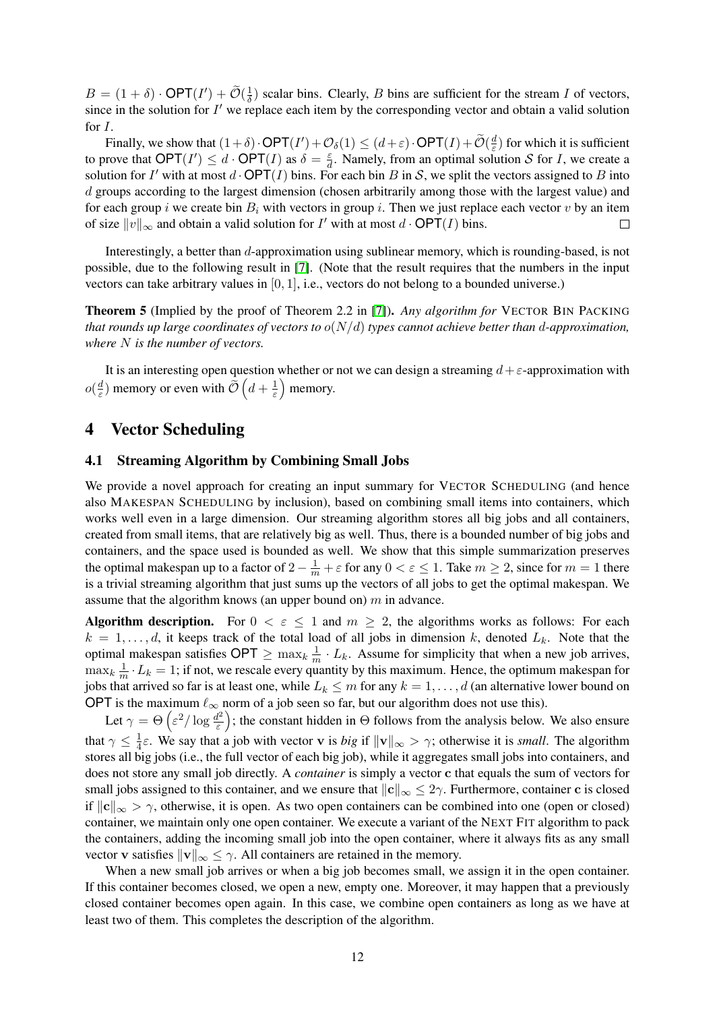$B = (1 + \delta) \cdot \mathsf{OPT}(I') + \widetilde{\mathcal{O}}(\frac{1}{\delta})$  $\frac{1}{\delta}$ ) scalar bins. Clearly, *B* bins are sufficient for the stream *I* of vectors, since in the solution for *I'* we replace each item by the corresponding vector and obtain a valid solution for *I*.

Finally, we show that  $(1+\delta) \cdot \mathsf{OPT}(I') + \mathcal{O}_{\delta}(1) \leq (d+\varepsilon) \cdot \mathsf{OPT}(I) + \widetilde{\mathcal{O}}(\frac{d}{\varepsilon})$  $\frac{a}{\varepsilon}$ ) for which it is sufficient to prove that  $\mathsf{OPT}(I') \leq d \cdot \mathsf{OPT}(I)$  as  $\delta = \frac{\varepsilon}{d}$  $\frac{\varepsilon}{d}$ . Namely, from an optimal solution S for *I*, we create a solution for *I'* with at most  $d \cdot \mathsf{OPT}(I)$  bins. For each bin *B* in *S*, we split the vectors assigned to *B* into *d* groups according to the largest dimension (chosen arbitrarily among those with the largest value) and for each group *i* we create bin  $B_i$  with vectors in group *i*. Then we just replace each vector *v* by an item of size  $||v||_{\infty}$  and obtain a valid solution for *I'* with at most  $d \cdot \mathsf{OPT}(I)$  bins.  $\Box$ 

Interestingly, a better than *d*-approximation using sublinear memory, which is rounding-based, is not possible, due to the following result in [\[7\]](#page-16-2). (Note that the result requires that the numbers in the input vectors can take arbitrary values in [0*,* 1], i.e., vectors do not belong to a bounded universe.)

Theorem 5 (Implied by the proof of Theorem 2.2 in [\[7\]](#page-16-2)). *Any algorithm for* VECTOR BIN PACKING *that rounds up large coordinates of vectors to o*(*N/d*) *types cannot achieve better than d-approximation, where N is the number of vectors.*

It is an interesting open question whether or not we can design a streaming *d*+*ε*-approximation with  $o(\frac{d}{e})$  $\frac{d}{\varepsilon}$ ) memory or even with  $\widetilde{\mathcal{O}}\left(d + \frac{1}{\varepsilon}\right)$  $\frac{1}{\varepsilon}$ ) memory.

## <span id="page-11-0"></span>4 Vector Scheduling

#### 4.1 Streaming Algorithm by Combining Small Jobs

We provide a novel approach for creating an input summary for VECTOR SCHEDULING (and hence also MAKESPAN SCHEDULING by inclusion), based on combining small items into containers, which works well even in a large dimension. Our streaming algorithm stores all big jobs and all containers, created from small items, that are relatively big as well. Thus, there is a bounded number of big jobs and containers, and the space used is bounded as well. We show that this simple summarization preserves the optimal makespan up to a factor of  $2 - \frac{1}{m} + \varepsilon$  for any  $0 < \varepsilon \le 1$ . Take  $m \ge 2$ , since for  $m = 1$  there is a trivial streaming algorithm that just sums up the vectors of all jobs to get the optimal makespan. We assume that the algorithm knows (an upper bound on) *m* in advance.

**Algorithm description.** For  $0 < \varepsilon \leq 1$  and  $m \geq 2$ , the algorithms works as follows: For each  $k = 1, \ldots, d$ , it keeps track of the total load of all jobs in dimension *k*, denoted  $L_k$ . Note that the optimal makespan satisfies  $\text{OPT} \geq \max_k \frac{1}{n}$  $\frac{1}{m} \cdot L_k$ . Assume for simplicity that when a new job arrives,  $\max_k \frac{1}{n}$  $\frac{1}{m} \cdot L_k = 1$ ; if not, we rescale every quantity by this maximum. Hence, the optimum makespan for jobs that arrived so far is at least one, while  $L_k \leq m$  for any  $k = 1, \ldots, d$  (an alternative lower bound on OPT is the maximum  $\ell_{\infty}$  norm of a job seen so far, but our algorithm does not use this).

Let  $\gamma = \Theta\left(\varepsilon^2/\log\frac{d^2}{\varepsilon}\right)$  $\left(\frac{d^2}{\varepsilon}\right)$ ; the constant hidden in  $\Theta$  follows from the analysis below. We also ensure that  $\gamma \leq \frac{1}{4}$  $\frac{1}{4}\varepsilon$ . We say that a job with vector **v** is *big* if  $\|\mathbf{v}\|_{\infty} > \gamma$ ; otherwise it is *small*. The algorithm stores all big jobs (i.e., the full vector of each big job), while it aggregates small jobs into containers, and does not store any small job directly. A *container* is simply a vector **c** that equals the sum of vectors for small jobs assigned to this container, and we ensure that  $\|\mathbf{c}\|_{\infty} \leq 2\gamma$ . Furthermore, container **c** is closed if  $\|\mathbf{c}\|_{\infty} > \gamma$ , otherwise, it is open. As two open containers can be combined into one (open or closed) container, we maintain only one open container. We execute a variant of the NEXT FIT algorithm to pack the containers, adding the incoming small job into the open container, where it always fits as any small vector **v** satisfies  $\|\mathbf{v}\|_{\infty} \leq \gamma$ . All containers are retained in the memory.

When a new small job arrives or when a big job becomes small, we assign it in the open container. If this container becomes closed, we open a new, empty one. Moreover, it may happen that a previously closed container becomes open again. In this case, we combine open containers as long as we have at least two of them. This completes the description of the algorithm.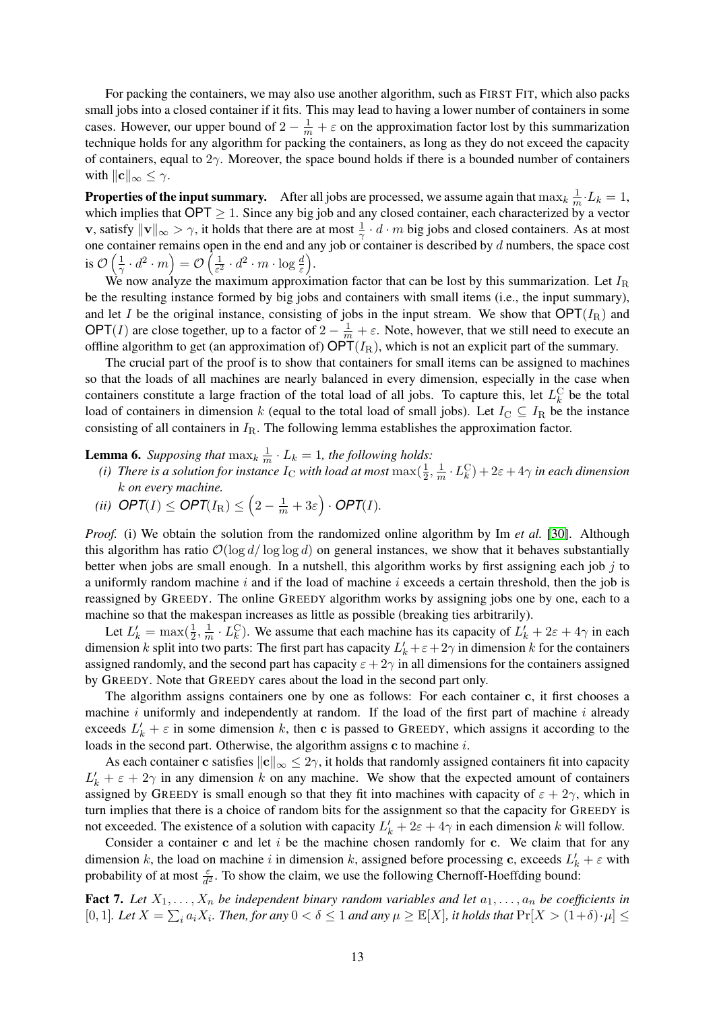For packing the containers, we may also use another algorithm, such as FIRST FIT, which also packs small jobs into a closed container if it fits. This may lead to having a lower number of containers in some cases. However, our upper bound of  $2 - \frac{1}{m} + \varepsilon$  on the approximation factor lost by this summarization technique holds for any algorithm for packing the containers, as long as they do not exceed the capacity of containers, equal to 2*γ*. Moreover, the space bound holds if there is a bounded number of containers with  $\|\mathbf{c}\|_{\infty} \leq \gamma$ .

**Properties of the input summary.** After all jobs are processed, we assume again that  $\max_k \frac{1}{n}$  $\frac{1}{m} \cdot L_k = 1$ , which implies that  $\text{OPT} \geq 1$ . Since any big job and any closed container, each characterized by a vector **v**, satisfy  $\|\mathbf{v}\|_{\infty} > \gamma$ , it holds that there are at most  $\frac{1}{\gamma} \cdot d \cdot m$  big jobs and closed containers. As at most one container remains open in the end and any job or container is described by *d* numbers, the space cost is  $\mathcal{O}\left(\frac{1}{\gamma}\right)$  $\frac{1}{\gamma} \cdot d^2 \cdot m \Big) = \mathcal{O} \left( \frac{1}{\varepsilon^2} \right)$  $\frac{1}{\varepsilon^2} \cdot d^2 \cdot m \cdot \log \frac{d}{\varepsilon}$ .

We now analyze the maximum approximation factor that can be lost by this summarization. Let  $I_R$ be the resulting instance formed by big jobs and containers with small items (i.e., the input summary), and let *I* be the original instance, consisting of jobs in the input stream. We show that  $\text{OPT}(I_R)$  and OPT(*I*) are close together, up to a factor of  $2 - \frac{1}{m} + \varepsilon$ . Note, however, that we still need to execute an offline algorithm to get (an approximation of)  $\mathsf{OPT}(I_\mathbb{R})$ , which is not an explicit part of the summary.

The crucial part of the proof is to show that containers for small items can be assigned to machines so that the loads of all machines are nearly balanced in every dimension, especially in the case when containers constitute a large fraction of the total load of all jobs. To capture this, let  $L_k^C$  be the total load of containers in dimension *k* (equal to the total load of small jobs). Let  $I_C \subseteq I_R$  be the instance consisting of all containers in *I*R. The following lemma establishes the approximation factor.

**Lemma 6.** *Supposing that*  $\max_k \frac{1}{m}$  $\frac{1}{m} \cdot L_k = 1$ , the following holds:

- (*i*) There is a solution for instance  $I_{\rm C}$  with load at most  $\max(\frac{1}{2},\frac{1}{n})$  $\frac{1}{m} \cdot L_k^{\text{C}}$ ) + 2 $\varepsilon$  + 4 $\gamma$  *in each dimension k on every machine.*
- $(iii)$   $OPT(I) \leq OPT(I_{\text{R}}) \leq \left(2 \frac{1}{m} + 3\varepsilon\right) \cdot OPT(I).$

*Proof.* (i) We obtain the solution from the randomized online algorithm by Im *et al.* [\[30\]](#page-17-12). Although this algorithm has ratio  $O(\log d/\log \log d)$  on general instances, we show that it behaves substantially better when jobs are small enough. In a nutshell, this algorithm works by first assigning each job *j* to a uniformly random machine *i* and if the load of machine *i* exceeds a certain threshold, then the job is reassigned by GREEDY. The online GREEDY algorithm works by assigning jobs one by one, each to a machine so that the makespan increases as little as possible (breaking ties arbitrarily).

Let  $L'_k = \max(\frac{1}{2}, \frac{1}{m})$  $\frac{1}{m} \cdot L_k^C$ ). We assume that each machine has its capacity of  $L'_k + 2\varepsilon + 4\gamma$  in each dimension *k* split into two parts: The first part has capacity  $L'_k + \varepsilon + 2\gamma$  in dimension *k* for the containers assigned randomly, and the second part has capacity  $\varepsilon + 2\gamma$  in all dimensions for the containers assigned by GREEDY. Note that GREEDY cares about the load in the second part only.

The algorithm assigns containers one by one as follows: For each container **c**, it first chooses a machine *i* uniformly and independently at random. If the load of the first part of machine *i* already exceeds  $L'_{k} + \varepsilon$  in some dimension *k*, then **c** is passed to GREEDY, which assigns it according to the loads in the second part. Otherwise, the algorithm assigns **c** to machine *i*.

As each container **c** satisfies  $\|\mathbf{c}\|_{\infty} \leq 2\gamma$ , it holds that randomly assigned containers fit into capacity  $L'_k + \varepsilon + 2\gamma$  in any dimension *k* on any machine. We show that the expected amount of containers assigned by GREEDY is small enough so that they fit into machines with capacity of  $\varepsilon + 2\gamma$ , which in turn implies that there is a choice of random bits for the assignment so that the capacity for GREEDY is not exceeded. The existence of a solution with capacity  $L'_k + 2\varepsilon + 4\gamma$  in each dimension *k* will follow.

Consider a container **c** and let *i* be the machine chosen randomly for **c**. We claim that for any dimension *k*, the load on machine *i* in dimension *k*, assigned before processing **c**, exceeds  $L'_{k} + \varepsilon$  with probability of at most  $\frac{\varepsilon}{d^2}$ . To show the claim, we use the following Chernoff-Hoeffding bound:

**Fact 7.** Let  $X_1, \ldots, X_n$  be independent binary random variables and let  $a_1, \ldots, a_n$  be coefficients in  $[0, 1]$ *. Let*  $X = \sum_i a_i X_i$ *. Then, for any*  $0 < \delta \leq 1$  *and any*  $\mu \geq \mathbb{E}[X]$ *, it holds that*  $\Pr[X > (1+\delta) \cdot \mu] \leq$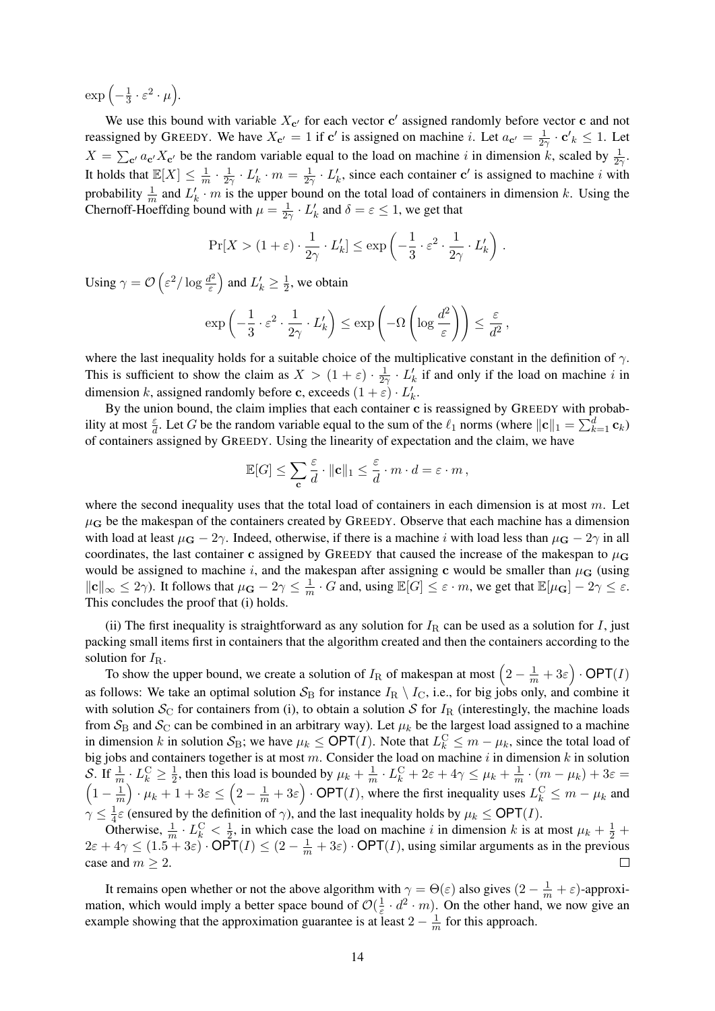$\exp\left(-\frac{1}{3}\right)$  $rac{1}{3} \cdot \varepsilon^2 \cdot \mu$ .

We use this bound with variable  $X_{c'}$  for each vector  $c'$  assigned randomly before vector  $c$  and not reassigned by GREEDY. We have  $X_{\mathbf{c}'} = 1$  if  $\mathbf{c}'$  is assigned on machine *i*. Let  $a_{\mathbf{c}'} = \frac{1}{2}$  $\frac{1}{2\gamma} \cdot \mathbf{c}'_k \leq 1$ . Let  $X = \sum_{\mathbf{c}'} a_{\mathbf{c}'} X_{\mathbf{c}'}$  be the random variable equal to the load on machine *i* in dimension *k*, scaled by  $\frac{1}{2\gamma}$ . It holds that  $\mathbb{E}[X] \leq \frac{1}{n}$  $\frac{1}{m} \cdot \frac{1}{2}$  $\frac{1}{2\gamma}\cdot L_{k}'\cdot m=\frac{1}{2\gamma}$  $\frac{1}{2\gamma} \cdot L'_{k}$ , since each container **c**' is assigned to machine *i* with probability  $\frac{1}{m}$  and  $L'_k \cdot m$  is the upper bound on the total load of containers in dimension *k*. Using the Chernoff-Hoeffding bound with  $\mu = \frac{1}{2}$  $\frac{1}{2\gamma} \cdot L'_k$  and  $\delta = \varepsilon \leq 1$ , we get that

$$
\Pr[X > (1+\varepsilon) \cdot \frac{1}{2\gamma} \cdot L'_k] \le \exp\left(-\frac{1}{3} \cdot \varepsilon^2 \cdot \frac{1}{2\gamma} \cdot L'_k\right).
$$

Using  $\gamma = \mathcal{O}\left(\varepsilon^2/\log \frac{d^2}{\varepsilon}\right)$  $\left(\frac{d^2}{\varepsilon}\right)$  and  $L'_k \geq \frac{1}{2}$  $\frac{1}{2}$ , we obtain

$$
\exp\left(-\frac{1}{3}\cdot \varepsilon^2\cdot \frac{1}{2\gamma}\cdot L_k'\right)\leq \exp\left(-\Omega\left(\log \frac{d^2}{\varepsilon}\right)\right)\leq \frac{\varepsilon}{d^2},
$$

where the last inequality holds for a suitable choice of the multiplicative constant in the definition of *γ*. This is sufficient to show the claim as  $X > (1 + \varepsilon) \cdot \frac{1}{2\varepsilon}$  $\frac{1}{2\gamma} \cdot L'_k$  if and only if the load on machine *i* in dimension *k*, assigned randomly before **c**, exceeds  $(1 + \varepsilon) \cdot L'_k$ .

By the union bound, the claim implies that each container **c** is reassigned by GREEDY with probability at most  $\frac{\varepsilon}{d}$ . Let *G* be the random variable equal to the sum of the  $\ell_1$  norms (where  $\|\mathbf{c}\|_1 = \sum_{k=1}^d \mathbf{c}_k$ ) of containers assigned by GREEDY. Using the linearity of expectation and the claim, we have

$$
\mathbb{E}[G] \le \sum_{\mathbf{c}} \frac{\varepsilon}{d} \cdot \|\mathbf{c}\|_1 \le \frac{\varepsilon}{d} \cdot m \cdot d = \varepsilon \cdot m,
$$

where the second inequality uses that the total load of containers in each dimension is at most *m*. Let  $\mu$ **G** be the makespan of the containers created by GREEDY. Observe that each machine has a dimension with load at least  $\mu_{\mathbf{G}} - 2\gamma$ . Indeed, otherwise, if there is a machine *i* with load less than  $\mu_{\mathbf{G}} - 2\gamma$  in all coordinates, the last container **c** assigned by GREEDY that caused the increase of the makespan to  $\mu$ **G** would be assigned to machine *i*, and the makespan after assigning **c** would be smaller than  $\mu$ **G** (using  $\|\mathbf{c}\|_{\infty} \leq 2\gamma$ ). It follows that  $\mu_{\mathbf{G}} - 2\gamma \leq \frac{1}{n}$  $\frac{1}{m} \cdot G$  and, using  $\mathbb{E}[G] \leq \varepsilon \cdot m$ , we get that  $\mathbb{E}[\mu_{\mathbf{G}}] - 2\gamma \leq \varepsilon$ . This concludes the proof that (i) holds.

(ii) The first inequality is straightforward as any solution for  $I_R$  can be used as a solution for  $I$ , just packing small items first in containers that the algorithm created and then the containers according to the solution for *I*R.

To show the upper bound, we create a solution of  $I_R$  of makespan at most  $\left(2 - \frac{1}{m} + 3\varepsilon\right) \cdot \text{OPT}(I)$ as follows: We take an optimal solution  $S_B$  for instance  $I_R \setminus I_C$ , i.e., for big jobs only, and combine it with solution  $S_{\text{C}}$  for containers from (i), to obtain a solution S for  $I_{\text{R}}$  (interestingly, the machine loads from  $S_B$  and  $S_C$  can be combined in an arbitrary way). Let  $\mu_k$  be the largest load assigned to a machine in dimension *k* in solution  $S_B$ ; we have  $\mu_k \le \text{OPT}(I)$ . Note that  $L_k^C \le m - \mu_k$ , since the total load of big jobs and containers together is at most *m*. Consider the load on machine *i* in dimension *k* in solution S. If  $\frac{1}{m} \cdot L_k^{\circ} \geq \frac{1}{2}$  $\frac{1}{2}$ , then this load is bounded by  $\mu_k + \frac{1}{n}$  $\frac{1}{m} \cdot L_k^C + 2\varepsilon + 4\gamma \le \mu_k + \frac{1}{n}$  $\frac{1}{m} \cdot (m - \mu_k) + 3\varepsilon =$  $\left(1-\frac{1}{n}\right)$  $\left(\frac{1}{m}\right) \cdot \mu_k + 1 + 3\varepsilon \le \left(2 - \frac{1}{m} + 3\varepsilon\right) \cdot \text{OPT}(I)$ , where the first inequality uses  $L_k^C \le m - \mu_k$  and  $\gamma \leq \frac{1}{4}$  $\frac{1}{4}\varepsilon$  (ensured by the definition of  $\gamma$ ), and the last inequality holds by  $\mu_k \le \text{OPT}(I)$ .

Otherwise,  $\frac{1}{m} \cdot L_k^C < \frac{1}{2}$  $\frac{1}{2}$ , in which case the load on machine *i* in dimension *k* is at most  $\mu_k + \frac{1}{2}$  +  $2\varepsilon + 4\gamma \leq (1.5 + 3\varepsilon) \cdot \text{OPT}(I) \leq (2 - \frac{1}{m} + 3\varepsilon) \cdot \text{OPT}(I)$ , using similar arguments as in the previous case and  $m > 2$ .

It remains open whether or not the above algorithm with  $\gamma = \Theta(\varepsilon)$  also gives  $(2 - \frac{1}{m} + \varepsilon)$ -approximation, which would imply a better space bound of  $\mathcal{O}(\frac{1}{\epsilon})$  $\frac{1}{\varepsilon} \cdot d^2 \cdot m$ . On the other hand, we now give an example showing that the approximation guarantee is at least  $2 - \frac{1}{n}$  $\frac{1}{m}$  for this approach.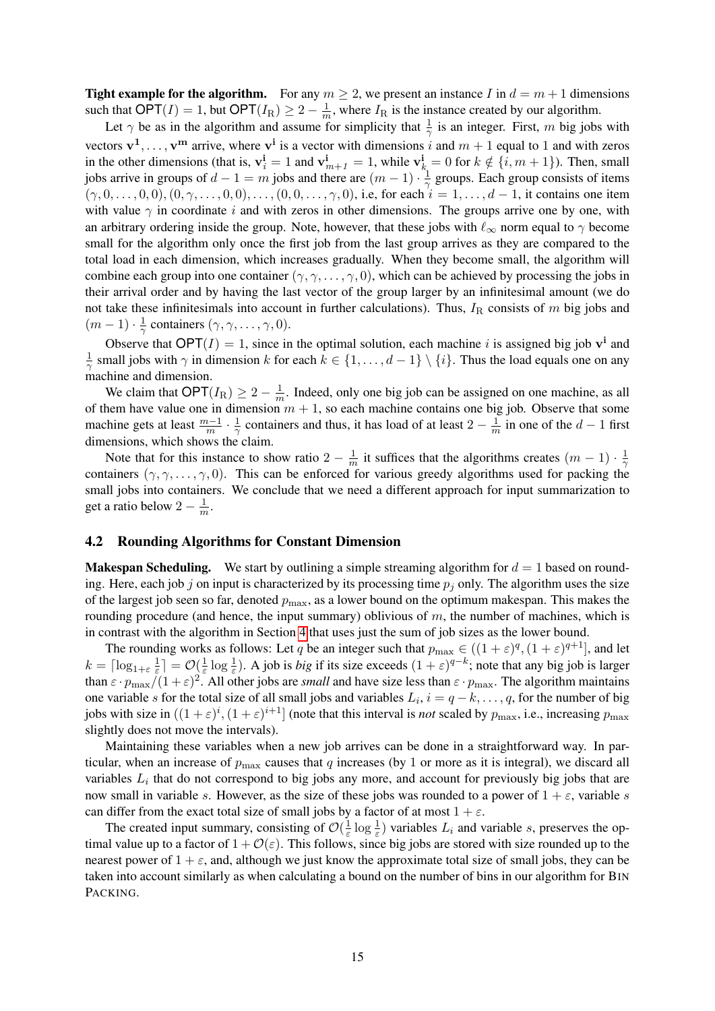**Tight example for the algorithm.** For any  $m \ge 2$ , we present an instance *I* in  $d = m + 1$  dimensions such that  $\mathsf{OPT}(I)=1$ , but  $\mathsf{OPT}(I_R)\geq 2-\frac{1}{m}$  $\frac{1}{m}$ , where  $I_{\rm R}$  is the instance created by our algorithm.

Let  $\gamma$  be as in the algorithm and assume for simplicity that  $\frac{1}{\gamma}$  is an integer. First, *m* big jobs with vectors  $\mathbf{v}^1, \ldots, \mathbf{v}^m$  arrive, where  $\mathbf{v}^i$  is a vector with dimensions *i* and  $m + 1$  equal to 1 and with zeros in the other dimensions (that is,  $v_i^i = 1$  and  $v_{m+1}^i = 1$ , while  $v_k^i = 0$  for  $k \notin \{i, m+1\}$ ). Then, small jobs arrive in groups of  $d - 1 = m$  jobs and there are  $(m - 1) \cdot \frac{1}{2}$  $\frac{1}{\gamma}$  groups. Each group consists of items  $(\gamma, 0, \ldots, 0, 0), (0, \gamma, \ldots, 0, 0), \ldots, (0, 0, \ldots, \gamma, 0)$ , i.e, for each  $i = 1, \ldots, d - 1$ , it contains one item with value  $\gamma$  in coordinate *i* and with zeros in other dimensions. The groups arrive one by one, with an arbitrary ordering inside the group. Note, however, that these jobs with  $\ell_{\infty}$  norm equal to  $\gamma$  become small for the algorithm only once the first job from the last group arrives as they are compared to the total load in each dimension, which increases gradually. When they become small, the algorithm will combine each group into one container (*γ, γ, . . . , γ,* 0), which can be achieved by processing the jobs in their arrival order and by having the last vector of the group larger by an infinitesimal amount (we do not take these infinitesimals into account in further calculations). Thus,  $I<sub>R</sub>$  consists of  $m$  big jobs and  $(m-1)\cdot\frac{1}{\gamma}$  $\frac{1}{\gamma}$  containers  $(\gamma, \gamma, \ldots, \gamma, 0)$ .

Observe that  $OPT(I) = 1$ , since in the optimal solution, each machine *i* is assigned big job  $\mathbf{v}^i$  and 1  $\frac{1}{\gamma}$  small jobs with  $\gamma$  in dimension *k* for each  $k \in \{1, \ldots, d-1\} \setminus \{i\}$ . Thus the load equals one on any machine and dimension.

We claim that  $\mathsf{OPT}(I_{\mathbb{R}}) \geq 2 - \frac{1}{n}$  $\frac{1}{m}$ . Indeed, only one big job can be assigned on one machine, as all of them have value one in dimension  $m + 1$ , so each machine contains one big job. Observe that some machine gets at least  $\frac{m-1}{m} \cdot \frac{1}{\gamma}$  $\frac{1}{\gamma}$  containers and thus, it has load of at least  $2 - \frac{1}{n}$  $\frac{1}{m}$  in one of the *d* − 1 first dimensions, which shows the claim.

Note that for this instance to show ratio  $2 - \frac{1}{n}$  $\frac{1}{m}$  it suffices that the algorithms creates  $(m-1) \cdot \frac{1}{\gamma}$ *γ* containers (*γ, γ, . . . , γ,* 0). This can be enforced for various greedy algorithms used for packing the small jobs into containers. We conclude that we need a different approach for input summarization to get a ratio below  $2 - \frac{1}{n}$  $\frac{1}{m}$ .

#### <span id="page-14-0"></span>4.2 Rounding Algorithms for Constant Dimension

**Makespan Scheduling.** We start by outlining a simple streaming algorithm for  $d = 1$  based on rounding. Here, each job  $j$  on input is characterized by its processing time  $p_j$  only. The algorithm uses the size of the largest job seen so far, denoted  $p_{\text{max}}$ , as a lower bound on the optimum makespan. This makes the rounding procedure (and hence, the input summary) oblivious of *m*, the number of machines, which is in contrast with the algorithm in Section [4](#page-11-0) that uses just the sum of job sizes as the lower bound.

The rounding works as follows: Let *q* be an integer such that  $p_{\max} \in ((1+\varepsilon)^q, (1+\varepsilon)^{q+1}]$ , and let  $k = \lceil \log_{1+\varepsilon} \frac{1}{\varepsilon} \rceil$  $\frac{1}{\varepsilon}$ ] =  $\mathcal{O}(\frac{1}{\varepsilon})$  $\frac{1}{\varepsilon}$  log  $\frac{1}{\varepsilon}$ ). A job is *big* if its size exceeds  $(1 + \varepsilon)^{q-k}$ ; note that any big job is larger than  $\varepsilon \cdot p_{\text{max}}/(1+\varepsilon)^2$ . All other jobs are *small* and have size less than  $\varepsilon \cdot p_{\text{max}}$ . The algorithm maintains one variable *s* for the total size of all small jobs and variables  $L_i$ ,  $i = q - k$ , ..., q, for the number of big jobs with size in  $((1+\varepsilon)^i, (1+\varepsilon)^{i+1}]$  (note that this interval is *not* scaled by  $p_{\max}$ , i.e., increasing  $p_{\max}$ slightly does not move the intervals).

Maintaining these variables when a new job arrives can be done in a straightforward way. In particular, when an increase of  $p_{\text{max}}$  causes that  $q$  increases (by 1 or more as it is integral), we discard all variables  $L_i$  that do not correspond to big jobs any more, and account for previously big jobs that are now small in variable *s*. However, as the size of these jobs was rounded to a power of  $1 + \varepsilon$ , variable *s* can differ from the exact total size of small jobs by a factor of at most  $1 + \varepsilon$ .

The created input summary, consisting of  $\mathcal{O}(\frac{1}{\epsilon})$  $\frac{1}{\varepsilon}$  log  $\frac{1}{\varepsilon}$ ) variables *L<sub>i</sub>* and variable *s*, preserves the optimal value up to a factor of  $1 + \mathcal{O}(\varepsilon)$ . This follows, since big jobs are stored with size rounded up to the nearest power of  $1 + \varepsilon$ , and, although we just know the approximate total size of small jobs, they can be taken into account similarly as when calculating a bound on the number of bins in our algorithm for BIN PACKING.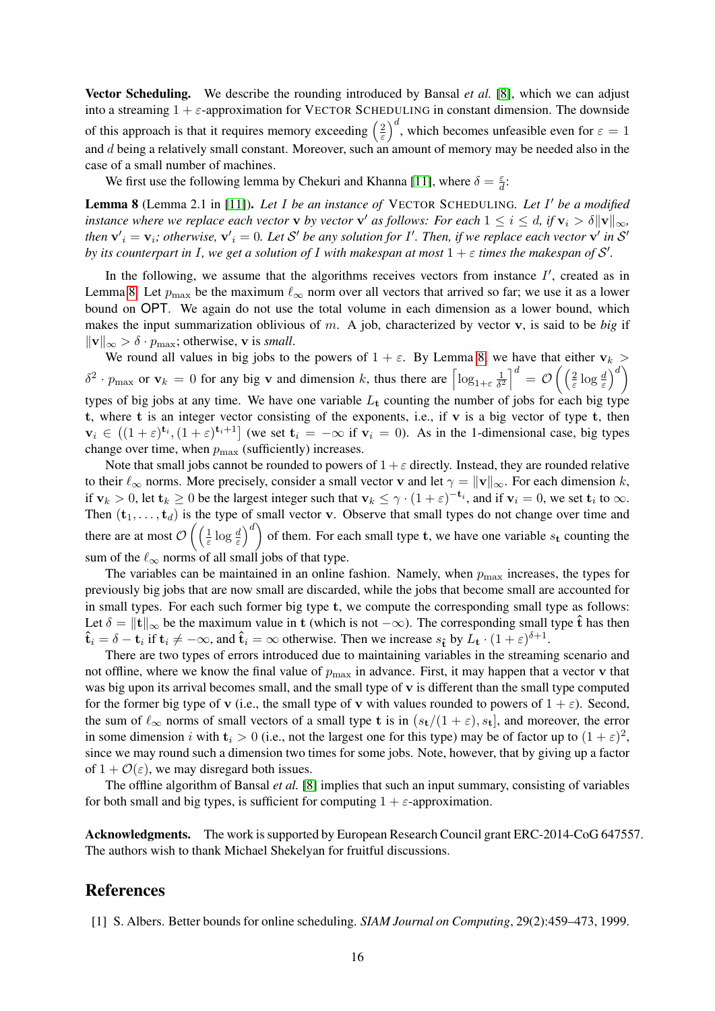Vector Scheduling. We describe the rounding introduced by Bansal *et al.* [\[8\]](#page-16-3), which we can adjust into a streaming  $1 + \varepsilon$ -approximation for VECTOR SCHEDULING in constant dimension. The downside of this approach is that it requires memory exceeding  $\left(\frac{2}{5}\right)$  $\left(\frac{2}{\varepsilon}\right)^d$ , which becomes unfeasible even for  $\varepsilon = 1$ and *d* being a relatively small constant. Moreover, such an amount of memory may be needed also in the case of a small number of machines.

We first use the following lemma by Chekuri and Khanna [\[11\]](#page-16-6), where  $\delta = \frac{\varepsilon}{d}$  $\frac{\varepsilon}{d}$ :

<span id="page-15-1"></span>Lemma 8 (Lemma 2.1 in [\[11\]](#page-16-6)). Let *I* be an instance of VECTOR SCHEDULING. Let *I'* be a modified *instance where we replace each vector* **v** *by vector* **v**<sup>*'*</sup> *as follows: For each*  $1 \leq i \leq d$ *, if*  $\mathbf{v}_i > \delta ||\mathbf{v}||_{\infty}$ *, then*  $v'_{i} = v_{i}$ ; otherwise,  $v'_{i} = 0$ . Let S' be any solution for I'. Then, if we replace each vector  $v'$  in S' *by its counterpart in I, we get a solution of I with makespan at most*  $1 + \varepsilon$  *times the makespan of*  $\mathcal{S}'$ *.* 

In the following, we assume that the algorithms receives vectors from instance  $I'$ , created as in Lemma [8.](#page-15-1) Let  $p_{\text{max}}$  be the maximum  $\ell_{\infty}$  norm over all vectors that arrived so far; we use it as a lower bound on OPT. We again do not use the total volume in each dimension as a lower bound, which makes the input summarization oblivious of *m*. A job, characterized by vector **v**, is said to be *big* if  $\|\mathbf{v}\|_{\infty} > \delta \cdot p_{\text{max}}$ ; otherwise, **v** is *small*.

We round all values in big jobs to the powers of  $1 + \varepsilon$ . By Lemma [8,](#page-15-1) we have that either  $\mathbf{v}_k$  $\delta^2 \cdot p_{\text{max}}$  or  $\mathbf{v}_k = 0$  for any big **v** and dimension *k*, thus there are  $\left[\log_{1+\varepsilon}\frac{1}{\delta^2}\right]$  $\left(\frac{1}{\delta^2}\right)^d = \mathcal{O}\left(\left(\frac{2}{\varepsilon}\right)$  $\left(\frac{2}{\varepsilon}\log\frac{d}{\varepsilon}\right)^d$ types of big jobs at any time. We have one variable  $L_t$  counting the number of jobs for each big type **t**, where **t** is an integer vector consisting of the exponents, i.e., if **v** is a big vector of type **t**, then  $\mathbf{v}_i \in ((1+\varepsilon)^{\mathbf{t}_i}, (1+\varepsilon)^{\mathbf{t}_i+1}]$  (we set  $\mathbf{t}_i = -\infty$  if  $\mathbf{v}_i = 0$ ). As in the 1-dimensional case, big types change over time, when  $p_{\text{max}}$  (sufficiently) increases.

Note that small jobs cannot be rounded to powers of  $1 + \varepsilon$  directly. Instead, they are rounded relative to their  $\ell_{\infty}$  norms. More precisely, consider a small vector **v** and let  $\gamma = ||\mathbf{v}||_{\infty}$ . For each dimension *k*, if  $\mathbf{v}_k > 0$ , let  $\mathbf{t}_k \ge 0$  be the largest integer such that  $\mathbf{v}_k \le \gamma \cdot (1 + \varepsilon)^{-\mathbf{t}_i}$ , and if  $\mathbf{v}_i = 0$ , we set  $\mathbf{t}_i$  to  $\infty$ . Then  $(\mathbf{t}_1, \ldots, \mathbf{t}_d)$  is the type of small vector **v**. Observe that small types do not change over time and there are at most  $\mathcal{O}\left(\left(\frac{1}{\varepsilon}\right)\right)$  $\frac{1}{\varepsilon}$  log  $\frac{d}{\varepsilon}$  and  $\left(\frac{d}{\varepsilon}\right)^d$  of them. For each small type **t**, we have one variable  $s_t$  counting the sum of the  $\ell_{\infty}$  norms of all small jobs of that type.

The variables can be maintained in an online fashion. Namely, when  $p_{\text{max}}$  increases, the types for previously big jobs that are now small are discarded, while the jobs that become small are accounted for in small types. For each such former big type **t**, we compute the corresponding small type as follows: Let  $\delta = ||\mathbf{t}||_{\infty}$  be the maximum value in **t** (which is not  $-\infty$ ). The corresponding small type  $\hat{\mathbf{t}}$  has then  $\hat{\mathbf{t}}_i = \delta - \mathbf{t}_i$  if  $\mathbf{t}_i \neq -\infty$ , and  $\hat{\mathbf{t}}_i = \infty$  otherwise. Then we increase  $s_{\hat{\mathbf{t}}}$  by  $L_{\mathbf{t}} \cdot (1 + \varepsilon)^{\delta+1}$ .

There are two types of errors introduced due to maintaining variables in the streaming scenario and not offline, where we know the final value of  $p_{\text{max}}$  in advance. First, it may happen that a vector **v** that was big upon its arrival becomes small, and the small type of **v** is different than the small type computed for the former big type of **v** (i.e., the small type of **v** with values rounded to powers of  $1 + \varepsilon$ ). Second, the sum of  $\ell_{\infty}$  norms of small vectors of a small type **t** is in  $(s_t/(1 + \varepsilon), s_t]$ , and moreover, the error in some dimension *i* with  $t_i > 0$  (i.e., not the largest one for this type) may be of factor up to  $(1 + \varepsilon)^2$ , since we may round such a dimension two times for some jobs. Note, however, that by giving up a factor of  $1 + \mathcal{O}(\varepsilon)$ , we may disregard both issues.

The offline algorithm of Bansal *et al.* [\[8\]](#page-16-3) implies that such an input summary, consisting of variables for both small and big types, is sufficient for computing  $1 + \varepsilon$ -approximation.

Acknowledgments. The work is supported by European Research Council grant ERC-2014-CoG 647557. The authors wish to thank Michael Shekelyan for fruitful discussions.

## References

<span id="page-15-0"></span>[1] S. Albers. Better bounds for online scheduling. *SIAM Journal on Computing*, 29(2):459–473, 1999.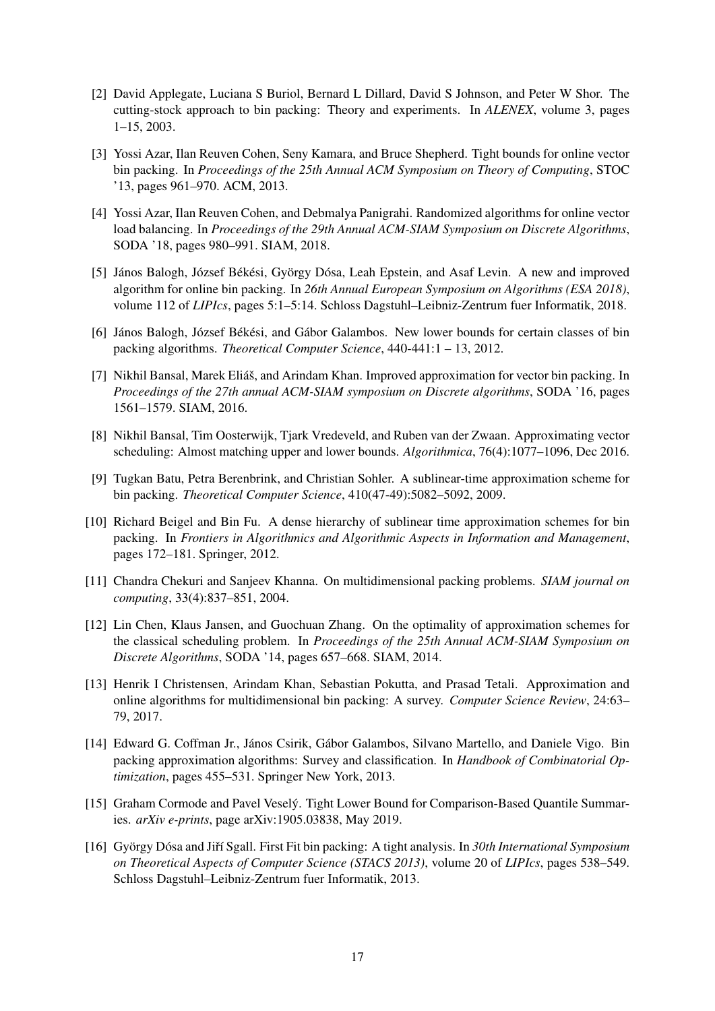- <span id="page-16-5"></span>[2] David Applegate, Luciana S Buriol, Bernard L Dillard, David S Johnson, and Peter W Shor. The cutting-stock approach to bin packing: Theory and experiments. In *ALENEX*, volume 3, pages 1–15, 2003.
- <span id="page-16-11"></span>[3] Yossi Azar, Ilan Reuven Cohen, Seny Kamara, and Bruce Shepherd. Tight bounds for online vector bin packing. In *Proceedings of the 25th Annual ACM Symposium on Theory of Computing*, STOC '13, pages 961–970. ACM, 2013.
- <span id="page-16-13"></span>[4] Yossi Azar, Ilan Reuven Cohen, and Debmalya Panigrahi. Randomized algorithms for online vector load balancing. In *Proceedings of the 29th Annual ACM-SIAM Symposium on Discrete Algorithms*, SODA '18, pages 980–991. SIAM, 2018.
- <span id="page-16-9"></span>[5] János Balogh, József Békési, György Dósa, Leah Epstein, and Asaf Levin. A new and improved algorithm for online bin packing. In *26th Annual European Symposium on Algorithms (ESA 2018)*, volume 112 of *LIPIcs*, pages 5:1–5:14. Schloss Dagstuhl–Leibniz-Zentrum fuer Informatik, 2018.
- <span id="page-16-10"></span>[6] János Balogh, József Békési, and Gábor Galambos. New lower bounds for certain classes of bin packing algorithms. *Theoretical Computer Science*, 440-441:1 – 13, 2012.
- <span id="page-16-2"></span>[7] Nikhil Bansal, Marek Eliáš, and Arindam Khan. Improved approximation for vector bin packing. In *Proceedings of the 27th annual ACM-SIAM symposium on Discrete algorithms*, SODA '16, pages 1561–1579. SIAM, 2016.
- <span id="page-16-3"></span>[8] Nikhil Bansal, Tim Oosterwijk, Tjark Vredeveld, and Ruben van der Zwaan. Approximating vector scheduling: Almost matching upper and lower bounds. *Algorithmica*, 76(4):1077–1096, Dec 2016.
- <span id="page-16-7"></span>[9] Tugkan Batu, Petra Berenbrink, and Christian Sohler. A sublinear-time approximation scheme for bin packing. *Theoretical Computer Science*, 410(47-49):5082–5092, 2009.
- <span id="page-16-8"></span>[10] Richard Beigel and Bin Fu. A dense hierarchy of sublinear time approximation schemes for bin packing. In *Frontiers in Algorithmics and Algorithmic Aspects in Information and Management*, pages 172–181. Springer, 2012.
- <span id="page-16-6"></span>[11] Chandra Chekuri and Sanjeev Khanna. On multidimensional packing problems. *SIAM journal on computing*, 33(4):837–851, 2004.
- <span id="page-16-12"></span>[12] Lin Chen, Klaus Jansen, and Guochuan Zhang. On the optimality of approximation schemes for the classical scheduling problem. In *Proceedings of the 25th Annual ACM-SIAM Symposium on Discrete Algorithms*, SODA '14, pages 657–668. SIAM, 2014.
- <span id="page-16-1"></span>[13] Henrik I Christensen, Arindam Khan, Sebastian Pokutta, and Prasad Tetali. Approximation and online algorithms for multidimensional bin packing: A survey. *Computer Science Review*, 24:63– 79, 2017.
- <span id="page-16-0"></span>[14] Edward G. Coffman Jr., János Csirik, Gábor Galambos, Silvano Martello, and Daniele Vigo. Bin packing approximation algorithms: Survey and classification. In *Handbook of Combinatorial Optimization*, pages 455–531. Springer New York, 2013.
- <span id="page-16-14"></span>[15] Graham Cormode and Pavel Vesely. Tight Lower Bound for Comparison-Based Quantile Summar- ´ ies. *arXiv e-prints*, page arXiv:1905.03838, May 2019.
- <span id="page-16-4"></span>[16] György Dósa and Jiří Sgall. First Fit bin packing: A tight analysis. In 30th International Symposium *on Theoretical Aspects of Computer Science (STACS 2013)*, volume 20 of *LIPIcs*, pages 538–549. Schloss Dagstuhl–Leibniz-Zentrum fuer Informatik, 2013.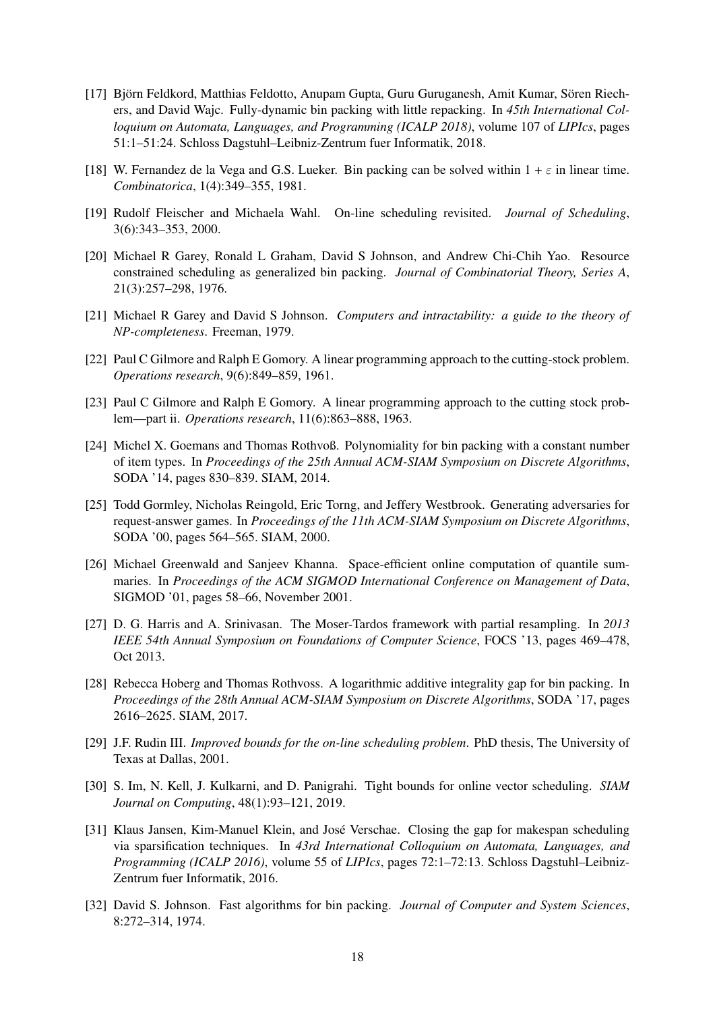- <span id="page-17-8"></span>[17] Björn Feldkord, Matthias Feldotto, Anupam Gupta, Guru Guruganesh, Amit Kumar, Sören Riechers, and David Wajc. Fully-dynamic bin packing with little repacking. In *45th International Colloquium on Automata, Languages, and Programming (ICALP 2018)*, volume 107 of *LIPIcs*, pages 51:1–51:24. Schloss Dagstuhl–Leibniz-Zentrum fuer Informatik, 2018.
- <span id="page-17-1"></span>[18] W. Fernandez de la Vega and G.S. Lueker. Bin packing can be solved within 1 + *ε* in linear time. *Combinatorica*, 1(4):349–355, 1981.
- <span id="page-17-15"></span>[19] Rudolf Fleischer and Michaela Wahl. On-line scheduling revisited. *Journal of Scheduling*, 3(6):343–353, 2000.
- <span id="page-17-7"></span>[20] Michael R Garey, Ronald L Graham, David S Johnson, and Andrew Chi-Chih Yao. Resource constrained scheduling as generalized bin packing. *Journal of Combinatorial Theory, Series A*, 21(3):257–298, 1976.
- <span id="page-17-9"></span>[21] Michael R Garey and David S Johnson. *Computers and intractability: a guide to the theory of NP-completeness*. Freeman, 1979.
- <span id="page-17-5"></span>[22] Paul C Gilmore and Ralph E Gomory. A linear programming approach to the cutting-stock problem. *Operations research*, 9(6):849–859, 1961.
- <span id="page-17-6"></span>[23] Paul C Gilmore and Ralph E Gomory. A linear programming approach to the cutting stock problem—part ii. *Operations research*, 11(6):863–888, 1963.
- <span id="page-17-3"></span>[24] Michel X. Goemans and Thomas Rothvoß. Polynomiality for bin packing with a constant number of item types. In *Proceedings of the 25th Annual ACM-SIAM Symposium on Discrete Algorithms*, SODA '14, pages 830–839. SIAM, 2014.
- <span id="page-17-13"></span>[25] Todd Gormley, Nicholas Reingold, Eric Torng, and Jeffery Westbrook. Generating adversaries for request-answer games. In *Proceedings of the 11th ACM-SIAM Symposium on Discrete Algorithms*, SODA '00, pages 564–565. SIAM, 2000.
- <span id="page-17-0"></span>[26] Michael Greenwald and Sanjeev Khanna. Space-efficient online computation of quantile summaries. In *Proceedings of the ACM SIGMOD International Conference on Management of Data*, SIGMOD '01, pages 58–66, November 2001.
- <span id="page-17-11"></span>[27] D. G. Harris and A. Srinivasan. The Moser-Tardos framework with partial resampling. In *2013 IEEE 54th Annual Symposium on Foundations of Computer Science*, FOCS '13, pages 469–478, Oct 2013.
- <span id="page-17-2"></span>[28] Rebecca Hoberg and Thomas Rothvoss. A logarithmic additive integrality gap for bin packing. In *Proceedings of the 28th Annual ACM-SIAM Symposium on Discrete Algorithms*, SODA '17, pages 2616–2625. SIAM, 2017.
- <span id="page-17-14"></span>[29] J.F. Rudin III. *Improved bounds for the on-line scheduling problem*. PhD thesis, The University of Texas at Dallas, 2001.
- <span id="page-17-12"></span>[30] S. Im, N. Kell, J. Kulkarni, and D. Panigrahi. Tight bounds for online vector scheduling. *SIAM Journal on Computing*, 48(1):93–121, 2019.
- <span id="page-17-10"></span>[31] Klaus Jansen, Kim-Manuel Klein, and José Verschae. Closing the gap for makespan scheduling via sparsification techniques. In *43rd International Colloquium on Automata, Languages, and Programming (ICALP 2016)*, volume 55 of *LIPIcs*, pages 72:1–72:13. Schloss Dagstuhl–Leibniz-Zentrum fuer Informatik, 2016.
- <span id="page-17-4"></span>[32] David S. Johnson. Fast algorithms for bin packing. *Journal of Computer and System Sciences*, 8:272–314, 1974.